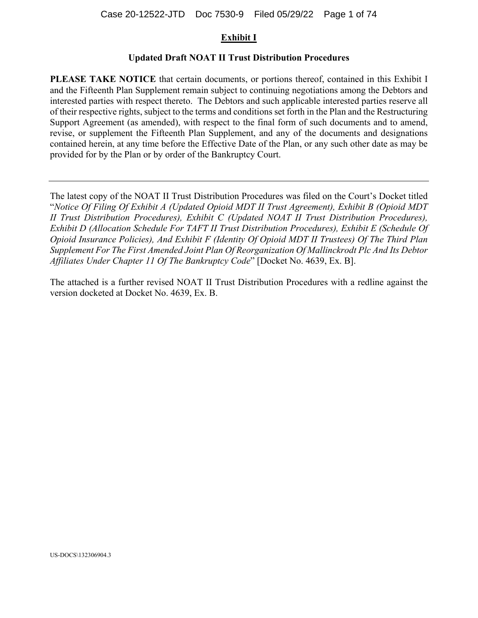### **Exhibit I**

### **Updated Draft NOAT II Trust Distribution Procedures**

**PLEASE TAKE NOTICE** that certain documents, or portions thereof, contained in this Exhibit I and the Fifteenth Plan Supplement remain subject to continuing negotiations among the Debtors and interested parties with respect thereto. The Debtors and such applicable interested parties reserve all of their respective rights, subject to the terms and conditions set forth in the Plan and the Restructuring Support Agreement (as amended), with respect to the final form of such documents and to amend, revise, or supplement the Fifteenth Plan Supplement, and any of the documents and designations contained herein, at any time before the Effective Date of the Plan, or any such other date as may be provided for by the Plan or by order of the Bankruptcy Court.

The latest copy of the NOAT II Trust Distribution Procedures was filed on the Court's Docket titled "*Notice Of Filing Of Exhibit A (Updated Opioid MDT II Trust Agreement), Exhibit B (Opioid MDT II Trust Distribution Procedures), Exhibit C (Updated NOAT II Trust Distribution Procedures), Exhibit D (Allocation Schedule For TAFT II Trust Distribution Procedures), Exhibit E (Schedule Of Opioid Insurance Policies), And Exhibit F (Identity Of Opioid MDT II Trustees) Of The Third Plan Supplement For The First Amended Joint Plan Of Reorganization Of Mallinckrodt Plc And Its Debtor Affiliates Under Chapter 11 Of The Bankruptcy Code*" [Docket No. 4639, Ex. B].

The attached is a further revised NOAT II Trust Distribution Procedures with a redline against the version docketed at Docket No. 4639, Ex. B.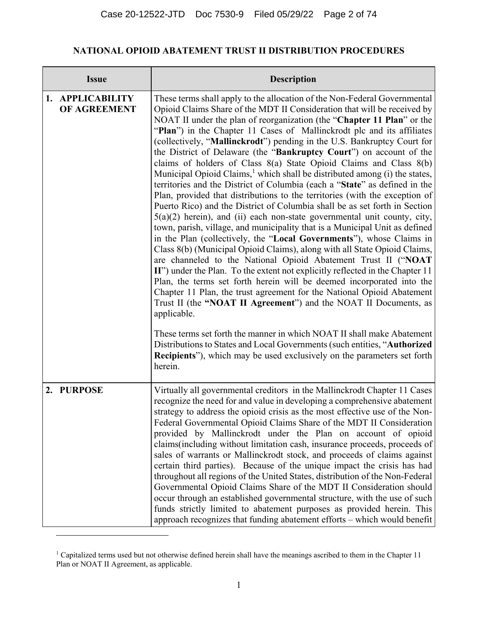# **NATIONAL OPIOID ABATEMENT TRUST II DISTRIBUTION PROCEDURES**

| <b>Issue</b>                     | <b>Description</b>                                                                                                                                                                                                                                                                                                                                                                                                                                                                                                                                                                                                                                                                                                                                                                                                                                                                                                                                                                                                                                                                                                                                                                                                                                                                                                                                                                                                                                                                                                                                                                                                                                                                                                                                                                                                                     |
|----------------------------------|----------------------------------------------------------------------------------------------------------------------------------------------------------------------------------------------------------------------------------------------------------------------------------------------------------------------------------------------------------------------------------------------------------------------------------------------------------------------------------------------------------------------------------------------------------------------------------------------------------------------------------------------------------------------------------------------------------------------------------------------------------------------------------------------------------------------------------------------------------------------------------------------------------------------------------------------------------------------------------------------------------------------------------------------------------------------------------------------------------------------------------------------------------------------------------------------------------------------------------------------------------------------------------------------------------------------------------------------------------------------------------------------------------------------------------------------------------------------------------------------------------------------------------------------------------------------------------------------------------------------------------------------------------------------------------------------------------------------------------------------------------------------------------------------------------------------------------------|
| 1. APPLICABILITY<br>OF AGREEMENT | These terms shall apply to the allocation of the Non-Federal Governmental<br>Opioid Claims Share of the MDT II Consideration that will be received by<br>NOAT II under the plan of reorganization (the "Chapter 11 Plan" or the<br>"Plan") in the Chapter 11 Cases of Mallinckrodt plc and its affiliates<br>(collectively, "Mallinckrodt") pending in the U.S. Bankruptcy Court for<br>the District of Delaware (the "Bankruptcy Court") on account of the<br>claims of holders of Class 8(a) State Opioid Claims and Class 8(b)<br>Municipal Opioid Claims, <sup>1</sup> which shall be distributed among (i) the states,<br>territories and the District of Columbia (each a "State" as defined in the<br>Plan, provided that distributions to the territories (with the exception of<br>Puerto Rico) and the District of Columbia shall be as set forth in Section<br>$5(a)(2)$ herein), and (ii) each non-state governmental unit county, city,<br>town, parish, village, and municipality that is a Municipal Unit as defined<br>in the Plan (collectively, the "Local Governments"), whose Claims in<br>Class 8(b) (Municipal Opioid Claims), along with all State Opioid Claims,<br>are channeled to the National Opioid Abatement Trust II ("NOAT<br>II") under the Plan. To the extent not explicitly reflected in the Chapter 11<br>Plan, the terms set forth herein will be deemed incorporated into the<br>Chapter 11 Plan, the trust agreement for the National Opioid Abatement<br>Trust II (the "NOAT II Agreement") and the NOAT II Documents, as<br>applicable.<br>These terms set forth the manner in which NOAT II shall make Abatement<br>Distributions to States and Local Governments (such entities, "Authorized<br><b>Recipients</b> "), which may be used exclusively on the parameters set forth<br>herein. |
| 2. PURPOSE                       | Virtually all governmental creditors in the Mallinckrodt Chapter 11 Cases<br>recognize the need for and value in developing a comprehensive abatement<br>strategy to address the opioid crisis as the most effective use of the Non-<br>Federal Governmental Opioid Claims Share of the MDT II Consideration<br>provided by Mallinckrodt under the Plan on account of opioid<br>claims(including without limitation cash, insurance proceeds, proceeds of<br>sales of warrants or Mallinckrodt stock, and proceeds of claims against<br>certain third parties). Because of the unique impact the crisis has had<br>throughout all regions of the United States, distribution of the Non-Federal<br>Governmental Opioid Claims Share of the MDT II Consideration should<br>occur through an established governmental structure, with the use of such<br>funds strictly limited to abatement purposes as provided herein. This<br>approach recognizes that funding abatement efforts - which would benefit                                                                                                                                                                                                                                                                                                                                                                                                                                                                                                                                                                                                                                                                                                                                                                                                                               |

<sup>&</sup>lt;sup>1</sup> Capitalized terms used but not otherwise defined herein shall have the meanings ascribed to them in the Chapter 11 Plan or NOAT II Agreement, as applicable.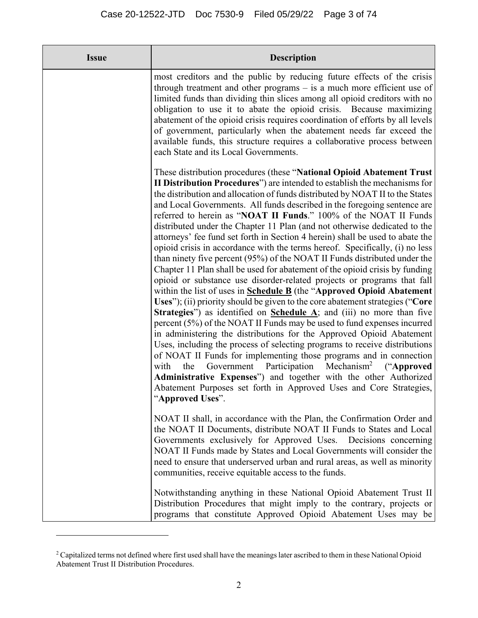| <b>Issue</b> | <b>Description</b>                                                                                                                                                                                                                                                                                                                                                                                                                                                                                                                                                                                                                                                                                                                                                                                                                                                                                                                                                                                                                                                                                                                                                                                                                                                                                                                                                                                                                                                                                                                                                                                                                                                                 |
|--------------|------------------------------------------------------------------------------------------------------------------------------------------------------------------------------------------------------------------------------------------------------------------------------------------------------------------------------------------------------------------------------------------------------------------------------------------------------------------------------------------------------------------------------------------------------------------------------------------------------------------------------------------------------------------------------------------------------------------------------------------------------------------------------------------------------------------------------------------------------------------------------------------------------------------------------------------------------------------------------------------------------------------------------------------------------------------------------------------------------------------------------------------------------------------------------------------------------------------------------------------------------------------------------------------------------------------------------------------------------------------------------------------------------------------------------------------------------------------------------------------------------------------------------------------------------------------------------------------------------------------------------------------------------------------------------------|
|              | most creditors and the public by reducing future effects of the crisis<br>through treatment and other programs $-$ is a much more efficient use of<br>limited funds than dividing thin slices among all opioid creditors with no<br>obligation to use it to abate the opioid crisis. Because maximizing<br>abatement of the opioid crisis requires coordination of efforts by all levels<br>of government, particularly when the abatement needs far exceed the<br>available funds, this structure requires a collaborative process between<br>each State and its Local Governments.                                                                                                                                                                                                                                                                                                                                                                                                                                                                                                                                                                                                                                                                                                                                                                                                                                                                                                                                                                                                                                                                                               |
|              | These distribution procedures (these "National Opioid Abatement Trust<br>II Distribution Procedures") are intended to establish the mechanisms for<br>the distribution and allocation of funds distributed by NOAT II to the States<br>and Local Governments. All funds described in the foregoing sentence are<br>referred to herein as "NOAT II Funds." 100% of the NOAT II Funds<br>distributed under the Chapter 11 Plan (and not otherwise dedicated to the<br>attorneys' fee fund set forth in Section 4 herein) shall be used to abate the<br>opioid crisis in accordance with the terms hereof. Specifically, (i) no less<br>than ninety five percent (95%) of the NOAT II Funds distributed under the<br>Chapter 11 Plan shall be used for abatement of the opioid crisis by funding<br>opioid or substance use disorder-related projects or programs that fall<br>within the list of uses in <b>Schedule B</b> (the "Approved Opioid Abatement"<br>Uses"); (ii) priority should be given to the core abatement strategies ("Core"<br>Strategies") as identified on Schedule $\Lambda$ ; and (iii) no more than five<br>percent $(5\%)$ of the NOAT II Funds may be used to fund expenses incurred<br>in administering the distributions for the Approved Opioid Abatement<br>Uses, including the process of selecting programs to receive distributions<br>of NOAT II Funds for implementing those programs and in connection<br>Government Participation Mechanism <sup>2</sup> ("Approved<br>with<br>the<br>Administrative Expenses") and together with the other Authorized<br>Abatement Purposes set forth in Approved Uses and Core Strategies,<br>"Approved Uses". |
|              | NOAT II shall, in accordance with the Plan, the Confirmation Order and<br>the NOAT II Documents, distribute NOAT II Funds to States and Local<br>Governments exclusively for Approved Uses. Decisions concerning<br>NOAT II Funds made by States and Local Governments will consider the<br>need to ensure that underserved urban and rural areas, as well as minority<br>communities, receive equitable access to the funds.                                                                                                                                                                                                                                                                                                                                                                                                                                                                                                                                                                                                                                                                                                                                                                                                                                                                                                                                                                                                                                                                                                                                                                                                                                                      |
|              | Notwithstanding anything in these National Opioid Abatement Trust II<br>Distribution Procedures that might imply to the contrary, projects or<br>programs that constitute Approved Opioid Abatement Uses may be                                                                                                                                                                                                                                                                                                                                                                                                                                                                                                                                                                                                                                                                                                                                                                                                                                                                                                                                                                                                                                                                                                                                                                                                                                                                                                                                                                                                                                                                    |

<sup>&</sup>lt;sup>2</sup> Capitalized terms not defined where first used shall have the meanings later ascribed to them in these National Opioid Abatement Trust II Distribution Procedures.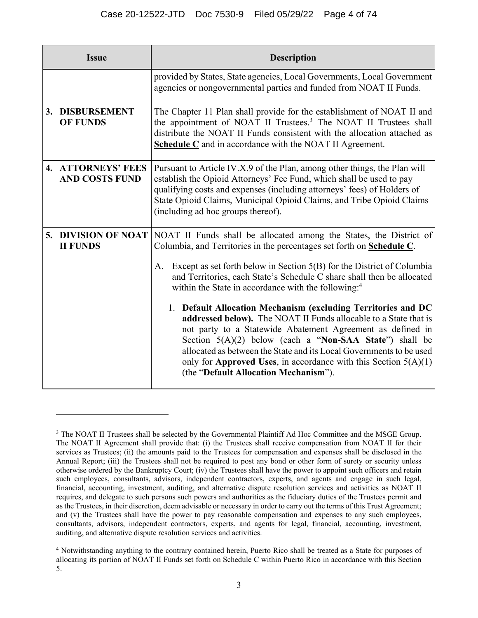| <b>Issue</b>                                | <b>Description</b>                                                                                                                                                                                                                                                                                                                                                                                                                                                                                                                                                                                                                                                                                                                                                                                                          |
|---------------------------------------------|-----------------------------------------------------------------------------------------------------------------------------------------------------------------------------------------------------------------------------------------------------------------------------------------------------------------------------------------------------------------------------------------------------------------------------------------------------------------------------------------------------------------------------------------------------------------------------------------------------------------------------------------------------------------------------------------------------------------------------------------------------------------------------------------------------------------------------|
|                                             | provided by States, State agencies, Local Governments, Local Government<br>agencies or nongovernmental parties and funded from NOAT II Funds.                                                                                                                                                                                                                                                                                                                                                                                                                                                                                                                                                                                                                                                                               |
| 3. DISBURSEMENT<br><b>OF FUNDS</b>          | The Chapter 11 Plan shall provide for the establishment of NOAT II and<br>the appointment of NOAT II Trustees. <sup>3</sup> The NOAT II Trustees shall<br>distribute the NOAT II Funds consistent with the allocation attached as<br><b>Schedule C</b> and in accordance with the NOAT II Agreement.                                                                                                                                                                                                                                                                                                                                                                                                                                                                                                                        |
| 4. ATTORNEYS' FEES<br><b>AND COSTS FUND</b> | Pursuant to Article IV.X.9 of the Plan, among other things, the Plan will<br>establish the Opioid Attorneys' Fee Fund, which shall be used to pay<br>qualifying costs and expenses (including attorneys' fees) of Holders of<br>State Opioid Claims, Municipal Opioid Claims, and Tribe Opioid Claims<br>(including ad hoc groups thereof).                                                                                                                                                                                                                                                                                                                                                                                                                                                                                 |
| 5. DIVISION OF NOAT<br><b>II FUNDS</b>      | NOAT II Funds shall be allocated among the States, the District of<br>Columbia, and Territories in the percentages set forth on Schedule C.<br>Except as set forth below in Section 5(B) for the District of Columbia<br>А.<br>and Territories, each State's Schedule C share shall then be allocated<br>within the State in accordance with the following: <sup>4</sup><br>1. Default Allocation Mechanism (excluding Territories and DC<br>addressed below). The NOAT II Funds allocable to a State that is<br>not party to a Statewide Abatement Agreement as defined in<br>Section 5(A)(2) below (each a "Non-SAA State") shall be<br>allocated as between the State and its Local Governments to be used<br>only for Approved Uses, in accordance with this Section $5(A)(1)$<br>(the "Default Allocation Mechanism"). |

<sup>&</sup>lt;sup>3</sup> The NOAT II Trustees shall be selected by the Governmental Plaintiff Ad Hoc Committee and the MSGE Group. The NOAT II Agreement shall provide that: (i) the Trustees shall receive compensation from NOAT II for their services as Trustees; (ii) the amounts paid to the Trustees for compensation and expenses shall be disclosed in the Annual Report; (iii) the Trustees shall not be required to post any bond or other form of surety or security unless otherwise ordered by the Bankruptcy Court; (iv) the Trustees shall have the power to appoint such officers and retain such employees, consultants, advisors, independent contractors, experts, and agents and engage in such legal, financial, accounting, investment, auditing, and alternative dispute resolution services and activities as NOAT II requires, and delegate to such persons such powers and authorities as the fiduciary duties of the Trustees permit and as the Trustees, in their discretion, deem advisable or necessary in order to carry out the terms of this Trust Agreement; and (v) the Trustees shall have the power to pay reasonable compensation and expenses to any such employees, consultants, advisors, independent contractors, experts, and agents for legal, financial, accounting, investment, auditing, and alternative dispute resolution services and activities.

<sup>&</sup>lt;sup>4</sup> Notwithstanding anything to the contrary contained herein, Puerto Rico shall be treated as a State for purposes of allocating its portion of NOAT II Funds set forth on Schedule C within Puerto Rico in accordance with this Section 5.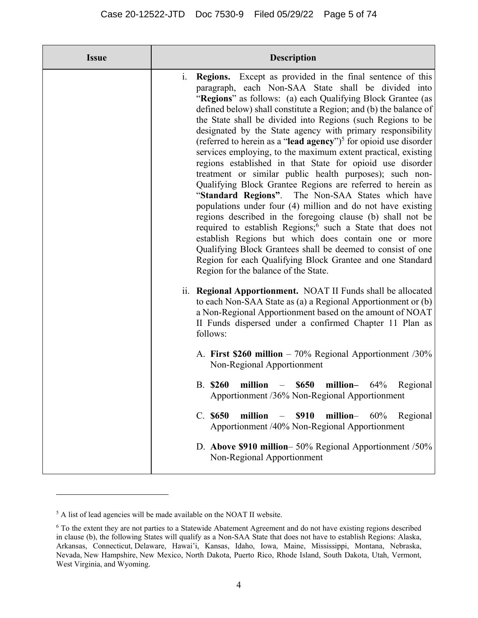| <b>Issue</b> | <b>Description</b>                                                                                                                                                                                                                                                                                                                                                                                                                                                                                                                                                                                                                                                                                                                                                                                                                                                                                                                                                                                                                                                                                                                                                                                                                                                                                                                                                                                                                                                                                                                                                                                                                                                                                                                                                                                                                                                                                                                                       |
|--------------|----------------------------------------------------------------------------------------------------------------------------------------------------------------------------------------------------------------------------------------------------------------------------------------------------------------------------------------------------------------------------------------------------------------------------------------------------------------------------------------------------------------------------------------------------------------------------------------------------------------------------------------------------------------------------------------------------------------------------------------------------------------------------------------------------------------------------------------------------------------------------------------------------------------------------------------------------------------------------------------------------------------------------------------------------------------------------------------------------------------------------------------------------------------------------------------------------------------------------------------------------------------------------------------------------------------------------------------------------------------------------------------------------------------------------------------------------------------------------------------------------------------------------------------------------------------------------------------------------------------------------------------------------------------------------------------------------------------------------------------------------------------------------------------------------------------------------------------------------------------------------------------------------------------------------------------------------------|
|              | <b>Regions.</b> Except as provided in the final sentence of this<br>$\mathbf{1}$ .<br>paragraph, each Non-SAA State shall be divided into<br>"Regions" as follows: (a) each Qualifying Block Grantee (as<br>defined below) shall constitute a Region; and (b) the balance of<br>the State shall be divided into Regions (such Regions to be<br>designated by the State agency with primary responsibility<br>(referred to herein as a "lead agency") <sup>5</sup> for opioid use disorder<br>services employing, to the maximum extent practical, existing<br>regions established in that State for opioid use disorder<br>treatment or similar public health purposes); such non-<br>Qualifying Block Grantee Regions are referred to herein as<br>"Standard Regions". The Non-SAA States which have<br>populations under four (4) million and do not have existing<br>regions described in the foregoing clause (b) shall not be<br>required to establish Regions; <sup>6</sup> such a State that does not<br>establish Regions but which does contain one or more<br>Qualifying Block Grantees shall be deemed to consist of one<br>Region for each Qualifying Block Grantee and one Standard<br>Region for the balance of the State.<br><b>Regional Apportionment.</b> NOAT II Funds shall be allocated<br>11.<br>to each Non-SAA State as (a) a Regional Apportionment or (b)<br>a Non-Regional Apportionment based on the amount of NOAT<br>II Funds dispersed under a confirmed Chapter 11 Plan as<br>follows:<br>A. First \$260 million $-70\%$ Regional Apportionment /30%<br>Non-Regional Apportionment<br><b>B.</b> \$260<br>million $-$ \$650<br>million- $64\%$<br>Regional<br>Apportionment /36% Non-Regional Apportionment<br>C. \$650<br><b>\$910</b><br>million-<br>million<br>60%<br>Regional<br>Apportionment /40% Non-Regional Apportionment<br>D. Above \$910 million-50% Regional Apportionment /50%<br>Non-Regional Apportionment |

<sup>&</sup>lt;sup>5</sup> A list of lead agencies will be made available on the NOAT II website.

<sup>&</sup>lt;sup>6</sup> To the extent they are not parties to a Statewide Abatement Agreement and do not have existing regions described in clause (b), the following States will qualify as a Non-SAA State that does not have to establish Regions: Alaska, Arkansas, Connecticut, Delaware, Hawai'i, Kansas, Idaho, Iowa, Maine, Mississippi, Montana, Nebraska, Nevada, New Hampshire, New Mexico, North Dakota, Puerto Rico, Rhode Island, South Dakota, Utah, Vermont, West Virginia, and Wyoming.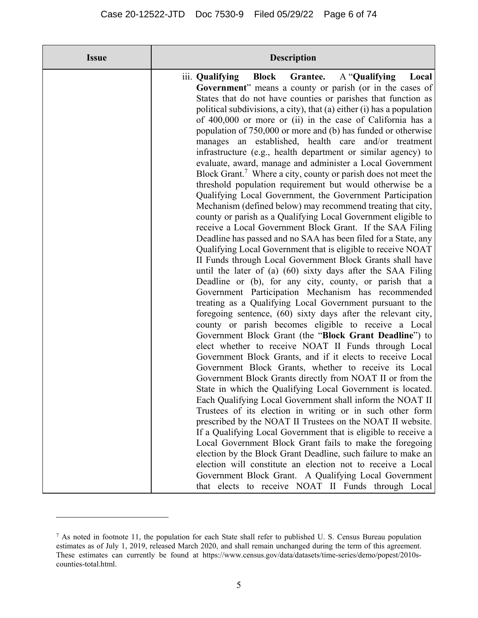$^7$  As noted in footnote 11, the population for each State shall refer to published U. S. Census Bureau population estimates as of July 1, 2019, released March 2020, and shall remain unchanged during the term of this agreement. These estimates can currently be found at https://www.census.gov/data/datasets/time-series/demo/popest/2010scounties-total.html.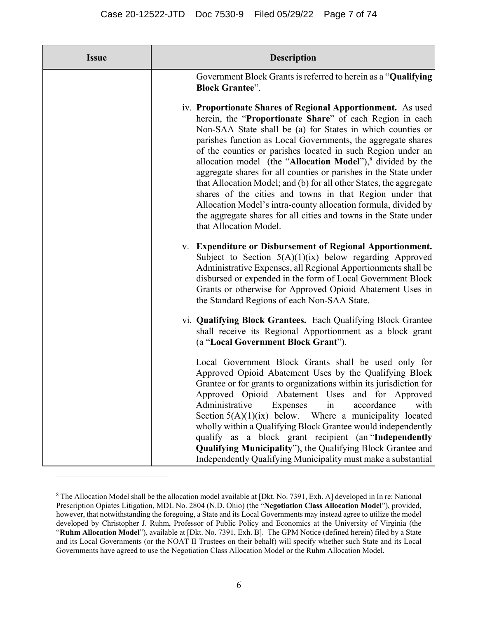| <b>Issue</b> | <b>Description</b>                                                                                                                                                                                                                                                                                                                                                                                                                                                                                                                                                                                                                                                                                                                                          |
|--------------|-------------------------------------------------------------------------------------------------------------------------------------------------------------------------------------------------------------------------------------------------------------------------------------------------------------------------------------------------------------------------------------------------------------------------------------------------------------------------------------------------------------------------------------------------------------------------------------------------------------------------------------------------------------------------------------------------------------------------------------------------------------|
|              | Government Block Grants is referred to herein as a "Qualifying"<br><b>Block Grantee".</b>                                                                                                                                                                                                                                                                                                                                                                                                                                                                                                                                                                                                                                                                   |
|              | iv. Proportionate Shares of Regional Apportionment. As used<br>herein, the "Proportionate Share" of each Region in each<br>Non-SAA State shall be (a) for States in which counties or<br>parishes function as Local Governments, the aggregate shares<br>of the counties or parishes located in such Region under an<br>allocation model (the "Allocation Model"), $8$ divided by the<br>aggregate shares for all counties or parishes in the State under<br>that Allocation Model; and (b) for all other States, the aggregate<br>shares of the cities and towns in that Region under that<br>Allocation Model's intra-county allocation formula, divided by<br>the aggregate shares for all cities and towns in the State under<br>that Allocation Model. |
|              | v. Expenditure or Disbursement of Regional Apportionment.<br>Subject to Section $5(A)(1)(ix)$ below regarding Approved<br>Administrative Expenses, all Regional Apportionments shall be<br>disbursed or expended in the form of Local Government Block<br>Grants or otherwise for Approved Opioid Abatement Uses in<br>the Standard Regions of each Non-SAA State.                                                                                                                                                                                                                                                                                                                                                                                          |
|              | vi. Qualifying Block Grantees. Each Qualifying Block Grantee<br>shall receive its Regional Apportionment as a block grant<br>(a "Local Government Block Grant").                                                                                                                                                                                                                                                                                                                                                                                                                                                                                                                                                                                            |
|              | Local Government Block Grants shall be used only for<br>Approved Opioid Abatement Uses by the Qualifying Block<br>Grantee or for grants to organizations within its jurisdiction for<br>Approved Opioid Abatement Uses and for Approved<br>Administrative<br>accordance<br>with<br>Expenses<br>in<br>Section $5(A)(1)(ix)$ below. Where a municipality located<br>wholly within a Qualifying Block Grantee would independently<br>qualify as a block grant recipient (an "Independently<br><b>Qualifying Municipality"</b> ), the Qualifying Block Grantee and<br>Independently Qualifying Municipality must make a substantial                                                                                                                             |

<sup>&</sup>lt;sup>8</sup> The Allocation Model shall be the allocation model available at [Dkt. No. 7391, Exh. A] developed in In re: National Prescription Opiates Litigation, MDL No. 2804 (N.D. Ohio) (the "**Negotiation Class Allocation Model**"), provided, however, that notwithstanding the foregoing, a State and its Local Governments may instead agree to utilize the model developed by Christopher J. Ruhm, Professor of Public Policy and Economics at the University of Virginia (the "**Ruhm Allocation Model**"), available at [Dkt. No. 7391, Exh. B]. The GPM Notice (defined herein) filed by a State and its Local Governments (or the NOAT II Trustees on their behalf) will specify whether such State and its Local Governments have agreed to use the Negotiation Class Allocation Model or the Ruhm Allocation Model.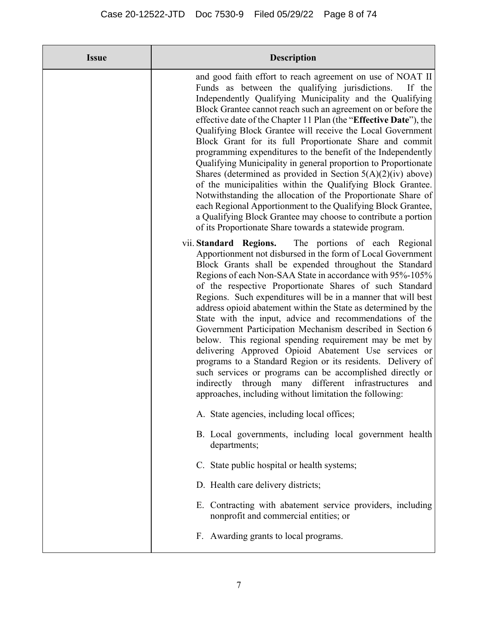| <b>Issue</b> | <b>Description</b>                                                                                                                                                                                                                                                                                                                                                                                                                                                                                                                                                                                                                                                                                                                                                                                                                                                                                                                                                              |
|--------------|---------------------------------------------------------------------------------------------------------------------------------------------------------------------------------------------------------------------------------------------------------------------------------------------------------------------------------------------------------------------------------------------------------------------------------------------------------------------------------------------------------------------------------------------------------------------------------------------------------------------------------------------------------------------------------------------------------------------------------------------------------------------------------------------------------------------------------------------------------------------------------------------------------------------------------------------------------------------------------|
|              | and good faith effort to reach agreement on use of NOAT II<br>Funds as between the qualifying jurisdictions.<br>If the<br>Independently Qualifying Municipality and the Qualifying<br>Block Grantee cannot reach such an agreement on or before the<br>effective date of the Chapter 11 Plan (the "Effective Date"), the<br>Qualifying Block Grantee will receive the Local Government<br>Block Grant for its full Proportionate Share and commit<br>programming expenditures to the benefit of the Independently<br>Qualifying Municipality in general proportion to Proportionate<br>Shares (determined as provided in Section $5(A)(2)(iv)$ above)<br>of the municipalities within the Qualifying Block Grantee.<br>Notwithstanding the allocation of the Proportionate Share of<br>each Regional Apportionment to the Qualifying Block Grantee,<br>a Qualifying Block Grantee may choose to contribute a portion<br>of its Proportionate Share towards a statewide program. |
|              | The portions of each Regional<br>vii. Standard Regions.<br>Apportionment not disbursed in the form of Local Government<br>Block Grants shall be expended throughout the Standard<br>Regions of each Non-SAA State in accordance with 95%-105%<br>of the respective Proportionate Shares of such Standard<br>Regions. Such expenditures will be in a manner that will best<br>address opioid abatement within the State as determined by the<br>State with the input, advice and recommendations of the<br>Government Participation Mechanism described in Section 6<br>below. This regional spending requirement may be met by<br>delivering Approved Opioid Abatement Use services or<br>programs to a Standard Region or its residents. Delivery of<br>such services or programs can be accomplished directly or<br>through many different infrastructures<br>indirectly<br>and<br>approaches, including without limitation the following:                                    |
|              | A. State agencies, including local offices;                                                                                                                                                                                                                                                                                                                                                                                                                                                                                                                                                                                                                                                                                                                                                                                                                                                                                                                                     |
|              | B. Local governments, including local government health<br>departments;                                                                                                                                                                                                                                                                                                                                                                                                                                                                                                                                                                                                                                                                                                                                                                                                                                                                                                         |
|              | C. State public hospital or health systems;                                                                                                                                                                                                                                                                                                                                                                                                                                                                                                                                                                                                                                                                                                                                                                                                                                                                                                                                     |
|              | D. Health care delivery districts;                                                                                                                                                                                                                                                                                                                                                                                                                                                                                                                                                                                                                                                                                                                                                                                                                                                                                                                                              |
|              | E. Contracting with abatement service providers, including<br>nonprofit and commercial entities; or                                                                                                                                                                                                                                                                                                                                                                                                                                                                                                                                                                                                                                                                                                                                                                                                                                                                             |
|              | F. Awarding grants to local programs.                                                                                                                                                                                                                                                                                                                                                                                                                                                                                                                                                                                                                                                                                                                                                                                                                                                                                                                                           |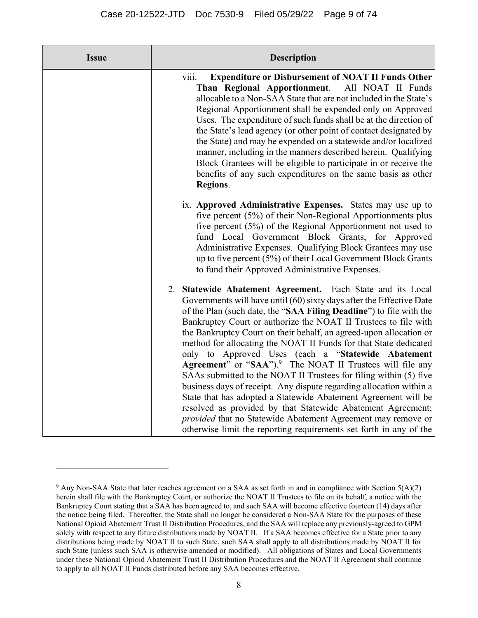| <b>Issue</b> | <b>Description</b>                                                                                                                                                                                                                                                                                                                                                                                                                                                                                                                                                                                                                                                                                                                                                                                                                                                                                                                                                       |
|--------------|--------------------------------------------------------------------------------------------------------------------------------------------------------------------------------------------------------------------------------------------------------------------------------------------------------------------------------------------------------------------------------------------------------------------------------------------------------------------------------------------------------------------------------------------------------------------------------------------------------------------------------------------------------------------------------------------------------------------------------------------------------------------------------------------------------------------------------------------------------------------------------------------------------------------------------------------------------------------------|
|              | viii.<br><b>Expenditure or Disbursement of NOAT II Funds Other</b><br>Than Regional Apportionment.<br>All NOAT II Funds<br>allocable to a Non-SAA State that are not included in the State's<br>Regional Apportionment shall be expended only on Approved<br>Uses. The expenditure of such funds shall be at the direction of<br>the State's lead agency (or other point of contact designated by<br>the State) and may be expended on a statewide and/or localized<br>manner, including in the manners described herein. Qualifying<br>Block Grantees will be eligible to participate in or receive the<br>benefits of any such expenditures on the same basis as other<br>Regions.                                                                                                                                                                                                                                                                                     |
|              | ix. Approved Administrative Expenses. States may use up to<br>five percent (5%) of their Non-Regional Apportionments plus<br>five percent (5%) of the Regional Apportionment not used to<br>fund Local Government Block Grants, for Approved<br>Administrative Expenses. Qualifying Block Grantees may use<br>up to five percent (5%) of their Local Government Block Grants<br>to fund their Approved Administrative Expenses.                                                                                                                                                                                                                                                                                                                                                                                                                                                                                                                                          |
|              | 2. Statewide Abatement Agreement. Each State and its Local<br>Governments will have until (60) sixty days after the Effective Date<br>of the Plan (such date, the "SAA Filing Deadline") to file with the<br>Bankruptcy Court or authorize the NOAT II Trustees to file with<br>the Bankruptcy Court on their behalf, an agreed-upon allocation or<br>method for allocating the NOAT II Funds for that State dedicated<br>only to Approved Uses (each a "Statewide Abatement<br>Agreement" or "SAA"). <sup>9</sup> The NOAT II Trustees will file any<br>SAAs submitted to the NOAT II Trustees for filing within (5) five<br>business days of receipt. Any dispute regarding allocation within a<br>State that has adopted a Statewide Abatement Agreement will be<br>resolved as provided by that Statewide Abatement Agreement;<br>provided that no Statewide Abatement Agreement may remove or<br>otherwise limit the reporting requirements set forth in any of the |

<sup>&</sup>lt;sup>9</sup> Any Non-SAA State that later reaches agreement on a SAA as set forth in and in compliance with Section  $5(A)(2)$ herein shall file with the Bankruptcy Court, or authorize the NOAT II Trustees to file on its behalf, a notice with the Bankruptcy Court stating that a SAA has been agreed to, and such SAA will become effective fourteen (14) days after the notice being filed. Thereafter, the State shall no longer be considered a Non-SAA State for the purposes of these National Opioid Abatement Trust II Distribution Procedures, and the SAA will replace any previously-agreed to GPM solely with respect to any future distributions made by NOAT II. If a SAA becomes effective for a State prior to any distributions being made by NOAT II to such State, such SAA shall apply to all distributions made by NOAT II for such State (unless such SAA is otherwise amended or modified). All obligations of States and Local Governments under these National Opioid Abatement Trust II Distribution Procedures and the NOAT II Agreement shall continue to apply to all NOAT II Funds distributed before any SAA becomes effective.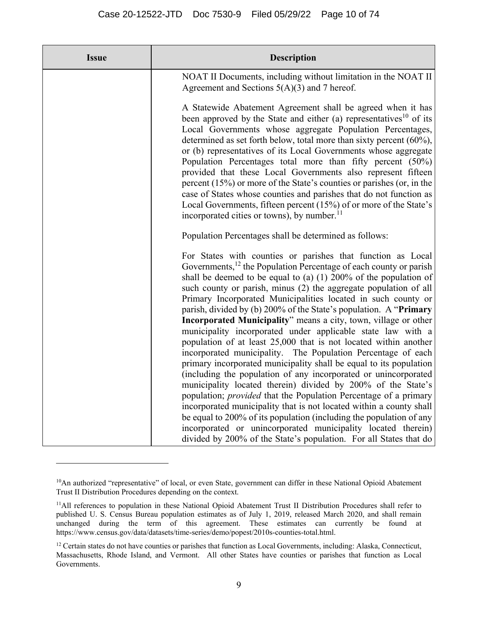| <b>Issue</b> | <b>Description</b>                                                                                                                                                                                                                                                                                                                                                                                                                                                                                                                                                                                                                                                                                                                                                                                                                                                                                                                                                                                                                                                                                                                                                                                   |
|--------------|------------------------------------------------------------------------------------------------------------------------------------------------------------------------------------------------------------------------------------------------------------------------------------------------------------------------------------------------------------------------------------------------------------------------------------------------------------------------------------------------------------------------------------------------------------------------------------------------------------------------------------------------------------------------------------------------------------------------------------------------------------------------------------------------------------------------------------------------------------------------------------------------------------------------------------------------------------------------------------------------------------------------------------------------------------------------------------------------------------------------------------------------------------------------------------------------------|
|              | NOAT II Documents, including without limitation in the NOAT II<br>Agreement and Sections $5(A)(3)$ and 7 hereof.                                                                                                                                                                                                                                                                                                                                                                                                                                                                                                                                                                                                                                                                                                                                                                                                                                                                                                                                                                                                                                                                                     |
|              | A Statewide Abatement Agreement shall be agreed when it has<br>been approved by the State and either (a) representatives <sup>10</sup> of its<br>Local Governments whose aggregate Population Percentages,<br>determined as set forth below, total more than sixty percent $(60\%)$ ,<br>or (b) representatives of its Local Governments whose aggregate<br>Population Percentages total more than fifty percent (50%)<br>provided that these Local Governments also represent fifteen<br>percent $(15%)$ or more of the State's counties or parishes (or, in the<br>case of States whose counties and parishes that do not function as<br>Local Governments, fifteen percent (15%) of or more of the State's<br>incorporated cities or towns), by number. <sup>11</sup>                                                                                                                                                                                                                                                                                                                                                                                                                             |
|              | Population Percentages shall be determined as follows:                                                                                                                                                                                                                                                                                                                                                                                                                                                                                                                                                                                                                                                                                                                                                                                                                                                                                                                                                                                                                                                                                                                                               |
|              | For States with counties or parishes that function as Local<br>Governments, <sup>12</sup> the Population Percentage of each county or parish<br>shall be deemed to be equal to (a) $(1)$ 200% of the population of<br>such county or parish, minus (2) the aggregate population of all<br>Primary Incorporated Municipalities located in such county or<br>parish, divided by (b) 200% of the State's population. A "Primary<br>Incorporated Municipality" means a city, town, village or other<br>municipality incorporated under applicable state law with a<br>population of at least 25,000 that is not located within another<br>incorporated municipality. The Population Percentage of each<br>primary incorporated municipality shall be equal to its population<br>(including the population of any incorporated or unincorporated<br>municipality located therein) divided by 200% of the State's<br>population; <i>provided</i> that the Population Percentage of a primary<br>incorporated municipality that is not located within a county shall<br>be equal to 200% of its population (including the population of any<br>incorporated or unincorporated municipality located therein) |

<sup>&</sup>lt;sup>10</sup>An authorized "representative" of local, or even State, government can differ in these National Opioid Abatement Trust II Distribution Procedures depending on the context.

<sup>&</sup>lt;sup>11</sup>All references to population in these National Opioid Abatement Trust II Distribution Procedures shall refer to published U. S. Census Bureau population estimates as of July 1, 2019, released March 2020, and shall remain unchanged during the term of this agreement. These estimates can currently be found at https://www.census.gov/data/datasets/time-series/demo/popest/2010s-counties-total.html.

<sup>&</sup>lt;sup>12</sup> Certain states do not have counties or parishes that function as Local Governments, including: Alaska, Connecticut, Massachusetts, Rhode Island, and Vermont. All other States have counties or parishes that function as Local Governments.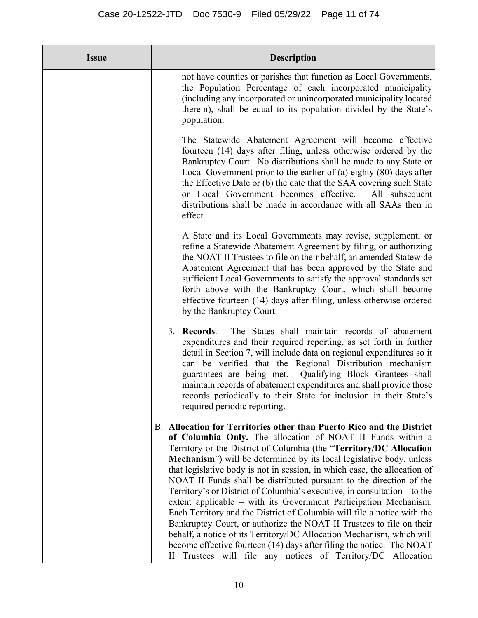| <b>Issue</b> | <b>Description</b>                                                                                                                                                                                                                                                                                                                                                                                                                                                                                                                                                                                                                                                                                                                                                                                                                                                                                                                                                   |
|--------------|----------------------------------------------------------------------------------------------------------------------------------------------------------------------------------------------------------------------------------------------------------------------------------------------------------------------------------------------------------------------------------------------------------------------------------------------------------------------------------------------------------------------------------------------------------------------------------------------------------------------------------------------------------------------------------------------------------------------------------------------------------------------------------------------------------------------------------------------------------------------------------------------------------------------------------------------------------------------|
|              | not have counties or parishes that function as Local Governments,<br>the Population Percentage of each incorporated municipality<br>(including any incorporated or unincorporated municipality located<br>therein), shall be equal to its population divided by the State's<br>population.                                                                                                                                                                                                                                                                                                                                                                                                                                                                                                                                                                                                                                                                           |
|              | The Statewide Abatement Agreement will become effective<br>fourteen (14) days after filing, unless otherwise ordered by the<br>Bankruptcy Court. No distributions shall be made to any State or<br>Local Government prior to the earlier of (a) eighty $(80)$ days after<br>the Effective Date or (b) the date that the SAA covering such State<br>or Local Government becomes effective.<br>All subsequent<br>distributions shall be made in accordance with all SAAs then in<br>effect.                                                                                                                                                                                                                                                                                                                                                                                                                                                                            |
|              | A State and its Local Governments may revise, supplement, or<br>refine a Statewide Abatement Agreement by filing, or authorizing<br>the NOAT II Trustees to file on their behalf, an amended Statewide<br>Abatement Agreement that has been approved by the State and<br>sufficient Local Governments to satisfy the approval standards set<br>forth above with the Bankruptcy Court, which shall become<br>effective fourteen (14) days after filing, unless otherwise ordered<br>by the Bankruptcy Court.                                                                                                                                                                                                                                                                                                                                                                                                                                                          |
|              | 3. Records.<br>The States shall maintain records of abatement<br>expenditures and their required reporting, as set forth in further<br>detail in Section 7, will include data on regional expenditures so it<br>can be verified that the Regional Distribution mechanism<br>guarantees are being met. Qualifying Block Grantees shall<br>maintain records of abatement expenditures and shall provide those<br>records periodically to their State for inclusion in their State's<br>required periodic reporting.                                                                                                                                                                                                                                                                                                                                                                                                                                                    |
|              | B. Allocation for Territories other than Puerto Rico and the District<br>of Columbia Only. The allocation of NOAT II Funds within a<br>Territory or the District of Columbia (the "Territory/DC Allocation<br><b>Mechanism</b> ") will be determined by its local legislative body, unless<br>that legislative body is not in session, in which case, the allocation of<br>NOAT II Funds shall be distributed pursuant to the direction of the<br>Territory's or District of Columbia's executive, in consultation – to the<br>extent applicable – with its Government Participation Mechanism.<br>Each Territory and the District of Columbia will file a notice with the<br>Bankruptcy Court, or authorize the NOAT II Trustees to file on their<br>behalf, a notice of its Territory/DC Allocation Mechanism, which will<br>become effective fourteen (14) days after filing the notice. The NOAT<br>II Trustees will file any notices of Territory/DC Allocation |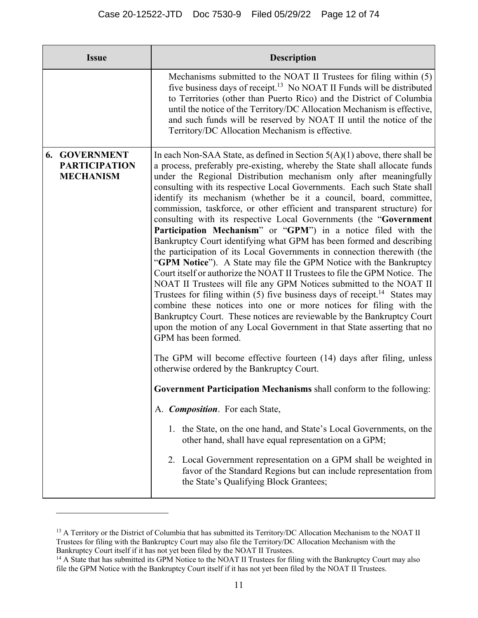| <b>Issue</b>                                                     | <b>Description</b>                                                                                                                                                                                                                                                                                                                                                                                                                                                                                                                                                                                                                                                                                                                                                                                                                                                                                                                                                                                                                                                                                                                                                                                                                                                                                                                                                                                                                                                                                                                                                                                                                                                                                                                                                                                                                                                                 |
|------------------------------------------------------------------|------------------------------------------------------------------------------------------------------------------------------------------------------------------------------------------------------------------------------------------------------------------------------------------------------------------------------------------------------------------------------------------------------------------------------------------------------------------------------------------------------------------------------------------------------------------------------------------------------------------------------------------------------------------------------------------------------------------------------------------------------------------------------------------------------------------------------------------------------------------------------------------------------------------------------------------------------------------------------------------------------------------------------------------------------------------------------------------------------------------------------------------------------------------------------------------------------------------------------------------------------------------------------------------------------------------------------------------------------------------------------------------------------------------------------------------------------------------------------------------------------------------------------------------------------------------------------------------------------------------------------------------------------------------------------------------------------------------------------------------------------------------------------------------------------------------------------------------------------------------------------------|
|                                                                  | Mechanisms submitted to the NOAT II Trustees for filing within (5)<br>five business days of receipt. <sup>13</sup> No NOAT II Funds will be distributed<br>to Territories (other than Puerto Rico) and the District of Columbia<br>until the notice of the Territory/DC Allocation Mechanism is effective,<br>and such funds will be reserved by NOAT II until the notice of the<br>Territory/DC Allocation Mechanism is effective.                                                                                                                                                                                                                                                                                                                                                                                                                                                                                                                                                                                                                                                                                                                                                                                                                                                                                                                                                                                                                                                                                                                                                                                                                                                                                                                                                                                                                                                |
| <b>6. GOVERNMENT</b><br><b>PARTICIPATION</b><br><b>MECHANISM</b> | In each Non-SAA State, as defined in Section $5(A)(1)$ above, there shall be<br>a process, preferably pre-existing, whereby the State shall allocate funds<br>under the Regional Distribution mechanism only after meaningfully<br>consulting with its respective Local Governments. Each such State shall<br>identify its mechanism (whether be it a council, board, committee,<br>commission, taskforce, or other efficient and transparent structure) for<br>consulting with its respective Local Governments (the "Government<br>Participation Mechanism" or "GPM") in a notice filed with the<br>Bankruptcy Court identifying what GPM has been formed and describing<br>the participation of its Local Governments in connection therewith (the<br>"GPM Notice"). A State may file the GPM Notice with the Bankruptcy<br>Court itself or authorize the NOAT II Trustees to file the GPM Notice. The<br>NOAT II Trustees will file any GPM Notices submitted to the NOAT II<br>Trustees for filing within (5) five business days of receipt. <sup>14</sup> States may<br>combine these notices into one or more notices for filing with the<br>Bankruptcy Court. These notices are reviewable by the Bankruptcy Court<br>upon the motion of any Local Government in that State asserting that no<br>GPM has been formed.<br>The GPM will become effective fourteen (14) days after filing, unless<br>otherwise ordered by the Bankruptcy Court.<br>Government Participation Mechanisms shall conform to the following:<br>A. Composition. For each State,<br>1. the State, on the one hand, and State's Local Governments, on the<br>other hand, shall have equal representation on a GPM;<br>2. Local Government representation on a GPM shall be weighted in<br>favor of the Standard Regions but can include representation from<br>the State's Qualifying Block Grantees; |

<sup>&</sup>lt;sup>13</sup> A Territory or the District of Columbia that has submitted its Territory/DC Allocation Mechanism to the NOAT II Trustees for filing with the Bankruptcy Court may also file the Territory/DC Allocation Mechanism with the

Bankruptcy Court itself if it has not yet been filed by the NOAT II Trustees.<br><sup>14</sup> A State that has submitted its GPM Notice to the NOAT II Trustees for filing with the Bankruptcy Court may also file the GPM Notice with the Bankruptcy Court itself if it has not yet been filed by the NOAT II Trustees.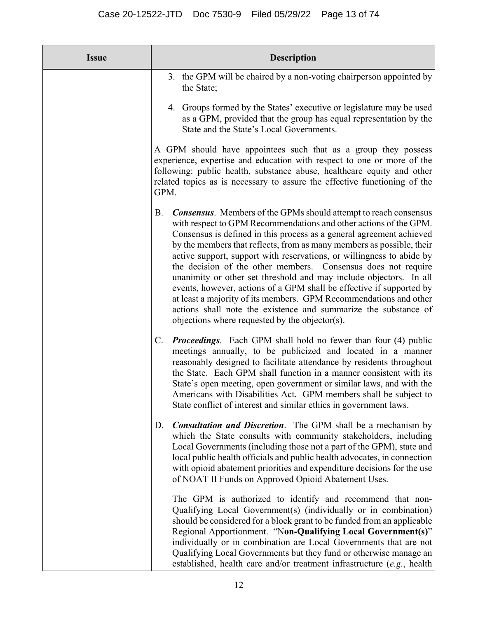| <b>Issue</b> | <b>Description</b>                                                                                                                                                                                                                                                                                                                                                                                                                                                                                                                                                                                                                                                                                                                                                                           |
|--------------|----------------------------------------------------------------------------------------------------------------------------------------------------------------------------------------------------------------------------------------------------------------------------------------------------------------------------------------------------------------------------------------------------------------------------------------------------------------------------------------------------------------------------------------------------------------------------------------------------------------------------------------------------------------------------------------------------------------------------------------------------------------------------------------------|
|              | 3. the GPM will be chaired by a non-voting chairperson appointed by<br>the State;                                                                                                                                                                                                                                                                                                                                                                                                                                                                                                                                                                                                                                                                                                            |
|              | 4. Groups formed by the States' executive or legislature may be used<br>as a GPM, provided that the group has equal representation by the<br>State and the State's Local Governments.                                                                                                                                                                                                                                                                                                                                                                                                                                                                                                                                                                                                        |
|              | A GPM should have appointees such that as a group they possess<br>experience, expertise and education with respect to one or more of the<br>following: public health, substance abuse, healthcare equity and other<br>related topics as is necessary to assure the effective functioning of the<br>GPM.                                                                                                                                                                                                                                                                                                                                                                                                                                                                                      |
|              | <b>Consensus.</b> Members of the GPMs should attempt to reach consensus<br><b>B.</b><br>with respect to GPM Recommendations and other actions of the GPM.<br>Consensus is defined in this process as a general agreement achieved<br>by the members that reflects, from as many members as possible, their<br>active support, support with reservations, or willingness to abide by<br>the decision of the other members. Consensus does not require<br>unanimity or other set threshold and may include objectors. In all<br>events, however, actions of a GPM shall be effective if supported by<br>at least a majority of its members. GPM Recommendations and other<br>actions shall note the existence and summarize the substance of<br>objections where requested by the objector(s). |
|              | C. <b>Proceedings.</b> Each GPM shall hold no fewer than four (4) public<br>meetings annually, to be publicized and located in a manner<br>reasonably designed to facilitate attendance by residents throughout<br>the State. Each GPM shall function in a manner consistent with its<br>State's open meeting, open government or similar laws, and with the<br>Americans with Disabilities Act. GPM members shall be subject to<br>State conflict of interest and similar ethics in government laws.                                                                                                                                                                                                                                                                                        |
|              | <b>Consultation and Discretion.</b> The GPM shall be a mechanism by<br>D.<br>which the State consults with community stakeholders, including<br>Local Governments (including those not a part of the GPM), state and<br>local public health officials and public health advocates, in connection<br>with opioid abatement priorities and expenditure decisions for the use<br>of NOAT II Funds on Approved Opioid Abatement Uses.                                                                                                                                                                                                                                                                                                                                                            |
|              | The GPM is authorized to identify and recommend that non-<br>Qualifying Local Government(s) (individually or in combination)<br>should be considered for a block grant to be funded from an applicable<br>Regional Apportionment. "Non-Qualifying Local Government(s)"<br>individually or in combination are Local Governments that are not<br>Qualifying Local Governments but they fund or otherwise manage an<br>established, health care and/or treatment infrastructure (e.g., health)                                                                                                                                                                                                                                                                                                  |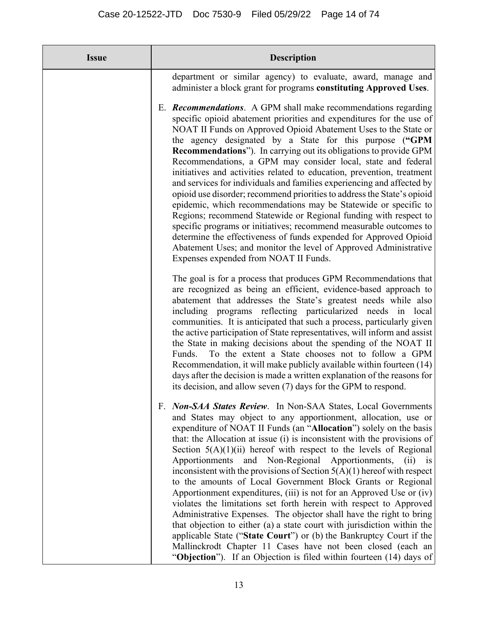| <b>Issue</b> | <b>Description</b>                                                                                                                                                                                                                                                                                                                                                                                                                                                                                                                                                                                                                                                                                                                                                                                                                                                                                                                                                                                                                                                                        |
|--------------|-------------------------------------------------------------------------------------------------------------------------------------------------------------------------------------------------------------------------------------------------------------------------------------------------------------------------------------------------------------------------------------------------------------------------------------------------------------------------------------------------------------------------------------------------------------------------------------------------------------------------------------------------------------------------------------------------------------------------------------------------------------------------------------------------------------------------------------------------------------------------------------------------------------------------------------------------------------------------------------------------------------------------------------------------------------------------------------------|
|              | department or similar agency) to evaluate, award, manage and<br>administer a block grant for programs constituting Approved Uses.                                                                                                                                                                                                                                                                                                                                                                                                                                                                                                                                                                                                                                                                                                                                                                                                                                                                                                                                                         |
|              | E. <b>Recommendations.</b> A GPM shall make recommendations regarding<br>specific opioid abatement priorities and expenditures for the use of<br>NOAT II Funds on Approved Opioid Abatement Uses to the State or<br>the agency designated by a State for this purpose ("GPM<br><b>Recommendations"</b> ). In carrying out its obligations to provide GPM<br>Recommendations, a GPM may consider local, state and federal<br>initiatives and activities related to education, prevention, treatment<br>and services for individuals and families experiencing and affected by<br>opioid use disorder; recommend priorities to address the State's opioid<br>epidemic, which recommendations may be Statewide or specific to<br>Regions; recommend Statewide or Regional funding with respect to<br>specific programs or initiatives; recommend measurable outcomes to<br>determine the effectiveness of funds expended for Approved Opioid<br>Abatement Uses; and monitor the level of Approved Administrative<br>Expenses expended from NOAT II Funds.                                    |
|              | The goal is for a process that produces GPM Recommendations that<br>are recognized as being an efficient, evidence-based approach to<br>abatement that addresses the State's greatest needs while also<br>including programs reflecting particularized needs in local<br>communities. It is anticipated that such a process, particularly given<br>the active participation of State representatives, will inform and assist<br>the State in making decisions about the spending of the NOAT II<br>To the extent a State chooses not to follow a GPM<br>Funds.<br>Recommendation, it will make publicly available within fourteen (14)<br>days after the decision is made a written explanation of the reasons for<br>its decision, and allow seven (7) days for the GPM to respond.                                                                                                                                                                                                                                                                                                      |
|              | F. Non-SAA States Review. In Non-SAA States, Local Governments<br>and States may object to any apportionment, allocation, use or<br>expenditure of NOAT II Funds (an "Allocation") solely on the basis<br>that: the Allocation at issue (i) is inconsistent with the provisions of<br>Section $5(A)(1)(ii)$ hereof with respect to the levels of Regional<br>Non-Regional Apportionments,<br>Apportionments<br>and<br>(ii)<br>1S<br>inconsistent with the provisions of Section $5(A)(1)$ hereof with respect<br>to the amounts of Local Government Block Grants or Regional<br>Apportionment expenditures, (iii) is not for an Approved Use or (iv)<br>violates the limitations set forth herein with respect to Approved<br>Administrative Expenses. The objector shall have the right to bring<br>that objection to either (a) a state court with jurisdiction within the<br>applicable State ("State Court") or (b) the Bankruptcy Court if the<br>Mallinckrodt Chapter 11 Cases have not been closed (each an<br>"Objection"). If an Objection is filed within fourteen (14) days of |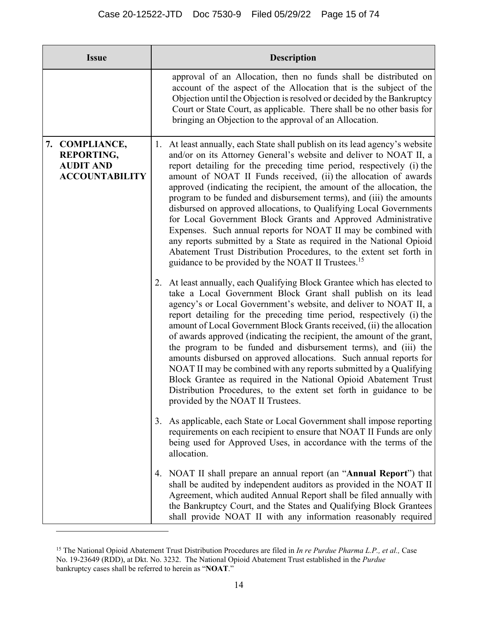| <b>Issue</b>                                                                     | <b>Description</b>                                                                                                                                                                                                                                                                                                                                                                                                                                                                                                                                                                                                                                                                                                                                                                                                                                                    |  |
|----------------------------------------------------------------------------------|-----------------------------------------------------------------------------------------------------------------------------------------------------------------------------------------------------------------------------------------------------------------------------------------------------------------------------------------------------------------------------------------------------------------------------------------------------------------------------------------------------------------------------------------------------------------------------------------------------------------------------------------------------------------------------------------------------------------------------------------------------------------------------------------------------------------------------------------------------------------------|--|
|                                                                                  | approval of an Allocation, then no funds shall be distributed on<br>account of the aspect of the Allocation that is the subject of the<br>Objection until the Objection is resolved or decided by the Bankruptcy<br>Court or State Court, as applicable. There shall be no other basis for<br>bringing an Objection to the approval of an Allocation.                                                                                                                                                                                                                                                                                                                                                                                                                                                                                                                 |  |
| 7. COMPLIANCE,<br><b>REPORTING,</b><br><b>AUDIT AND</b><br><b>ACCOUNTABILITY</b> | 1. At least annually, each State shall publish on its lead agency's website<br>and/or on its Attorney General's website and deliver to NOAT II, a<br>report detailing for the preceding time period, respectively (i) the<br>amount of NOAT II Funds received, (ii) the allocation of awards<br>approved (indicating the recipient, the amount of the allocation, the<br>program to be funded and disbursement terms), and (iii) the amounts<br>disbursed on approved allocations, to Qualifying Local Governments<br>for Local Government Block Grants and Approved Administrative<br>Expenses. Such annual reports for NOAT II may be combined with<br>any reports submitted by a State as required in the National Opioid<br>Abatement Trust Distribution Procedures, to the extent set forth in<br>guidance to be provided by the NOAT II Trustees. <sup>15</sup> |  |
|                                                                                  | 2. At least annually, each Qualifying Block Grantee which has elected to<br>take a Local Government Block Grant shall publish on its lead<br>agency's or Local Government's website, and deliver to NOAT II, a<br>report detailing for the preceding time period, respectively (i) the<br>amount of Local Government Block Grants received, (ii) the allocation<br>of awards approved (indicating the recipient, the amount of the grant,<br>the program to be funded and disbursement terms), and (iii) the<br>amounts disbursed on approved allocations. Such annual reports for<br>NOAT II may be combined with any reports submitted by a Qualifying<br>Block Grantee as required in the National Opioid Abatement Trust<br>Distribution Procedures, to the extent set forth in guidance to be<br>provided by the NOAT II Trustees.                               |  |
|                                                                                  | 3. As applicable, each State or Local Government shall impose reporting<br>requirements on each recipient to ensure that NOAT II Funds are only<br>being used for Approved Uses, in accordance with the terms of the<br>allocation.                                                                                                                                                                                                                                                                                                                                                                                                                                                                                                                                                                                                                                   |  |
|                                                                                  | 4. NOAT II shall prepare an annual report (an " <b>Annual Report</b> ") that<br>shall be audited by independent auditors as provided in the NOAT II<br>Agreement, which audited Annual Report shall be filed annually with<br>the Bankruptcy Court, and the States and Qualifying Block Grantees<br>shall provide NOAT II with any information reasonably required                                                                                                                                                                                                                                                                                                                                                                                                                                                                                                    |  |

<sup>15</sup> The National Opioid Abatement Trust Distribution Procedures are filed in *In re Purdue Pharma L.P., et al.,* Case No. 19-23649 (RDD), at Dkt. No. 3232. The National Opioid Abatement Trust established in the *Purdue* bankruptcy cases shall be referred to herein as "**NOAT**."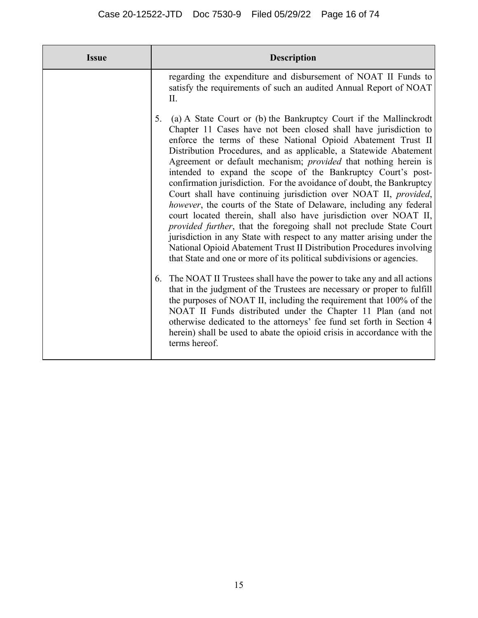| <b>Issue</b> | <b>Description</b>                                                                                                                                                                                                                                                                                                                                                                                                                                                                                                                                                                                                                                                                                                                                                                                                                                                                                                                                                                                                                                                                          |
|--------------|---------------------------------------------------------------------------------------------------------------------------------------------------------------------------------------------------------------------------------------------------------------------------------------------------------------------------------------------------------------------------------------------------------------------------------------------------------------------------------------------------------------------------------------------------------------------------------------------------------------------------------------------------------------------------------------------------------------------------------------------------------------------------------------------------------------------------------------------------------------------------------------------------------------------------------------------------------------------------------------------------------------------------------------------------------------------------------------------|
|              | regarding the expenditure and disbursement of NOAT II Funds to<br>satisfy the requirements of such an audited Annual Report of NOAT<br>Π.                                                                                                                                                                                                                                                                                                                                                                                                                                                                                                                                                                                                                                                                                                                                                                                                                                                                                                                                                   |
|              | (a) A State Court or (b) the Bankruptcy Court if the Mallinckrodt<br>5.<br>Chapter 11 Cases have not been closed shall have jurisdiction to<br>enforce the terms of these National Opioid Abatement Trust II<br>Distribution Procedures, and as applicable, a Statewide Abatement<br>Agreement or default mechanism; provided that nothing herein is<br>intended to expand the scope of the Bankruptcy Court's post-<br>confirmation jurisdiction. For the avoidance of doubt, the Bankruptcy<br>Court shall have continuing jurisdiction over NOAT II, provided,<br>however, the courts of the State of Delaware, including any federal<br>court located therein, shall also have jurisdiction over NOAT II,<br>provided further, that the foregoing shall not preclude State Court<br>jurisdiction in any State with respect to any matter arising under the<br>National Opioid Abatement Trust II Distribution Procedures involving<br>that State and one or more of its political subdivisions or agencies.<br>6. The NOAT II Trustees shall have the power to take any and all actions |
|              | that in the judgment of the Trustees are necessary or proper to fulfill<br>the purposes of NOAT II, including the requirement that 100% of the<br>NOAT II Funds distributed under the Chapter 11 Plan (and not<br>otherwise dedicated to the attorneys' fee fund set forth in Section 4<br>herein) shall be used to abate the opioid crisis in accordance with the<br>terms hereof.                                                                                                                                                                                                                                                                                                                                                                                                                                                                                                                                                                                                                                                                                                         |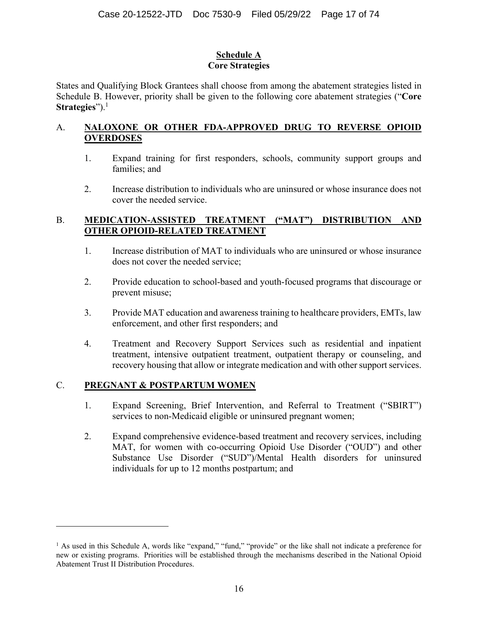### **Schedule A Core Strategies**

States and Qualifying Block Grantees shall choose from among the abatement strategies listed in Schedule B. However, priority shall be given to the following core abatement strategies ("**Core Strategies**").<sup>1</sup>

### A. **NALOXONE OR OTHER FDA-APPROVED DRUG TO REVERSE OPIOID OVERDOSES**

- 1. Expand training for first responders, schools, community support groups and families; and
- 2. Increase distribution to individuals who are uninsured or whose insurance does not cover the needed service.

## B. **MEDICATION-ASSISTED TREATMENT ("MAT") DISTRIBUTION AND OTHER OPIOID-RELATED TREATMENT**

- 1. Increase distribution of MAT to individuals who are uninsured or whose insurance does not cover the needed service;
- 2. Provide education to school-based and youth-focused programs that discourage or prevent misuse;
- 3. Provide MAT education and awareness training to healthcare providers, EMTs, law enforcement, and other first responders; and
- 4. Treatment and Recovery Support Services such as residential and inpatient treatment, intensive outpatient treatment, outpatient therapy or counseling, and recovery housing that allow or integrate medication and with other support services.

### C. **PREGNANT & POSTPARTUM WOMEN**

- 1. Expand Screening, Brief Intervention, and Referral to Treatment ("SBIRT") services to non-Medicaid eligible or uninsured pregnant women;
- 2. Expand comprehensive evidence-based treatment and recovery services, including MAT, for women with co-occurring Opioid Use Disorder ("OUD") and other Substance Use Disorder ("SUD")/Mental Health disorders for uninsured individuals for up to 12 months postpartum; and

<sup>&</sup>lt;sup>1</sup> As used in this Schedule A, words like "expand," "fund," "provide" or the like shall not indicate a preference for new or existing programs. Priorities will be established through the mechanisms described in the National Opioid Abatement Trust II Distribution Procedures.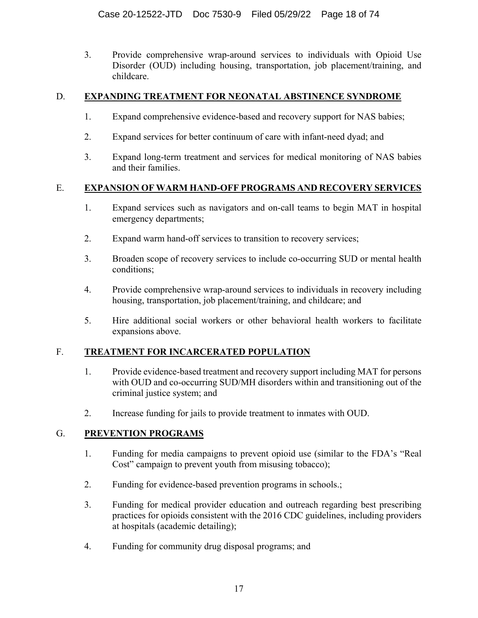3. Provide comprehensive wrap-around services to individuals with Opioid Use Disorder (OUD) including housing, transportation, job placement/training, and childcare.

### D. **EXPANDING TREATMENT FOR NEONATAL ABSTINENCE SYNDROME**

- 1. Expand comprehensive evidence-based and recovery support for NAS babies;
- 2. Expand services for better continuum of care with infant-need dyad; and
- 3. Expand long-term treatment and services for medical monitoring of NAS babies and their families.

## E. **EXPANSION OF WARM HAND-OFF PROGRAMS AND RECOVERY SERVICES**

- 1. Expand services such as navigators and on-call teams to begin MAT in hospital emergency departments;
- 2. Expand warm hand-off services to transition to recovery services;
- 3. Broaden scope of recovery services to include co-occurring SUD or mental health conditions;
- 4. Provide comprehensive wrap-around services to individuals in recovery including housing, transportation, job placement/training, and childcare; and
- 5. Hire additional social workers or other behavioral health workers to facilitate expansions above.

# F. **TREATMENT FOR INCARCERATED POPULATION**

- 1. Provide evidence-based treatment and recovery support including MAT for persons with OUD and co-occurring SUD/MH disorders within and transitioning out of the criminal justice system; and
- 2. Increase funding for jails to provide treatment to inmates with OUD.

# G. **PREVENTION PROGRAMS**

- 1. Funding for media campaigns to prevent opioid use (similar to the FDA's "Real Cost" campaign to prevent youth from misusing tobacco);
- 2. Funding for evidence-based prevention programs in schools.;
- 3. Funding for medical provider education and outreach regarding best prescribing practices for opioids consistent with the 2016 CDC guidelines, including providers at hospitals (academic detailing);
- 4. Funding for community drug disposal programs; and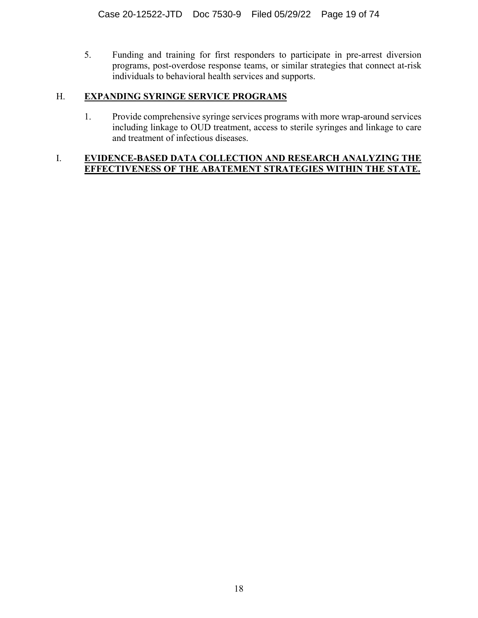5. Funding and training for first responders to participate in pre-arrest diversion programs, post-overdose response teams, or similar strategies that connect at-risk individuals to behavioral health services and supports.

# H. **EXPANDING SYRINGE SERVICE PROGRAMS**

1. Provide comprehensive syringe services programs with more wrap-around services including linkage to OUD treatment, access to sterile syringes and linkage to care and treatment of infectious diseases.

### I. **EVIDENCE-BASED DATA COLLECTION AND RESEARCH ANALYZING THE EFFECTIVENESS OF THE ABATEMENT STRATEGIES WITHIN THE STATE.**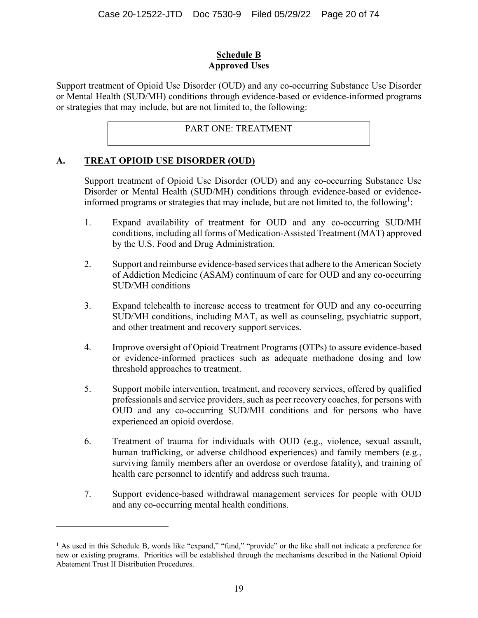### **Schedule B Approved Uses**

Support treatment of Opioid Use Disorder (OUD) and any co-occurring Substance Use Disorder or Mental Health (SUD/MH) conditions through evidence-based or evidence-informed programs or strategies that may include, but are not limited to, the following:

# PART ONE: TREATMENT

### **A. TREAT OPIOID USE DISORDER (OUD)**

 $\overline{a}$ 

Support treatment of Opioid Use Disorder (OUD) and any co-occurring Substance Use Disorder or Mental Health (SUD/MH) conditions through evidence-based or evidenceinformed programs or strategies that may include, but are not limited to, the following<sup>1</sup>:

- 1. Expand availability of treatment for OUD and any co-occurring SUD/MH conditions, including all forms of Medication-Assisted Treatment (MAT) approved by the U.S. Food and Drug Administration.
- 2. Support and reimburse evidence-based services that adhere to the American Society of Addiction Medicine (ASAM) continuum of care for OUD and any co-occurring SUD/MH conditions
- 3. Expand telehealth to increase access to treatment for OUD and any co-occurring SUD/MH conditions, including MAT, as well as counseling, psychiatric support, and other treatment and recovery support services.
- 4. Improve oversight of Opioid Treatment Programs (OTPs) to assure evidence-based or evidence-informed practices such as adequate methadone dosing and low threshold approaches to treatment.
- 5. Support mobile intervention, treatment, and recovery services, offered by qualified professionals and service providers, such as peer recovery coaches, for persons with OUD and any co-occurring SUD/MH conditions and for persons who have experienced an opioid overdose.
- 6. Treatment of trauma for individuals with OUD (e.g., violence, sexual assault, human trafficking, or adverse childhood experiences) and family members (e.g., surviving family members after an overdose or overdose fatality), and training of health care personnel to identify and address such trauma.
- 7. Support evidence-based withdrawal management services for people with OUD and any co-occurring mental health conditions.

<sup>&</sup>lt;sup>1</sup> As used in this Schedule B, words like "expand," "fund," "provide" or the like shall not indicate a preference for new or existing programs. Priorities will be established through the mechanisms described in the National Opioid Abatement Trust II Distribution Procedures.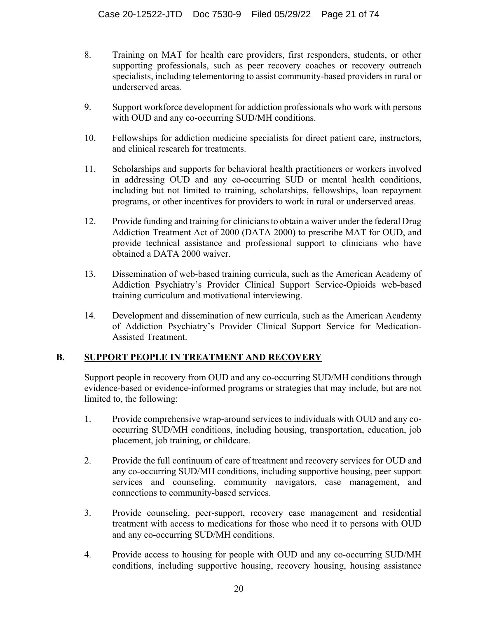- 8. Training on MAT for health care providers, first responders, students, or other supporting professionals, such as peer recovery coaches or recovery outreach specialists, including telementoring to assist community-based providers in rural or underserved areas.
- 9. Support workforce development for addiction professionals who work with persons with OUD and any co-occurring SUD/MH conditions.
- 10. Fellowships for addiction medicine specialists for direct patient care, instructors, and clinical research for treatments.
- 11. Scholarships and supports for behavioral health practitioners or workers involved in addressing OUD and any co-occurring SUD or mental health conditions, including but not limited to training, scholarships, fellowships, loan repayment programs, or other incentives for providers to work in rural or underserved areas.
- 12. Provide funding and training for clinicians to obtain a waiver under the federal Drug Addiction Treatment Act of 2000 (DATA 2000) to prescribe MAT for OUD, and provide technical assistance and professional support to clinicians who have obtained a DATA 2000 waiver.
- 13. Dissemination of web-based training curricula, such as the American Academy of Addiction Psychiatry's Provider Clinical Support Service-Opioids web-based training curriculum and motivational interviewing.
- 14. Development and dissemination of new curricula, such as the American Academy of Addiction Psychiatry's Provider Clinical Support Service for Medication-Assisted Treatment.

### **B. SUPPORT PEOPLE IN TREATMENT AND RECOVERY**

Support people in recovery from OUD and any co-occurring SUD/MH conditions through evidence-based or evidence-informed programs or strategies that may include, but are not limited to, the following:

- 1. Provide comprehensive wrap-around services to individuals with OUD and any cooccurring SUD/MH conditions, including housing, transportation, education, job placement, job training, or childcare.
- 2. Provide the full continuum of care of treatment and recovery services for OUD and any co-occurring SUD/MH conditions, including supportive housing, peer support services and counseling, community navigators, case management, and connections to community-based services.
- 3. Provide counseling, peer-support, recovery case management and residential treatment with access to medications for those who need it to persons with OUD and any co-occurring SUD/MH conditions.
- 4. Provide access to housing for people with OUD and any co-occurring SUD/MH conditions, including supportive housing, recovery housing, housing assistance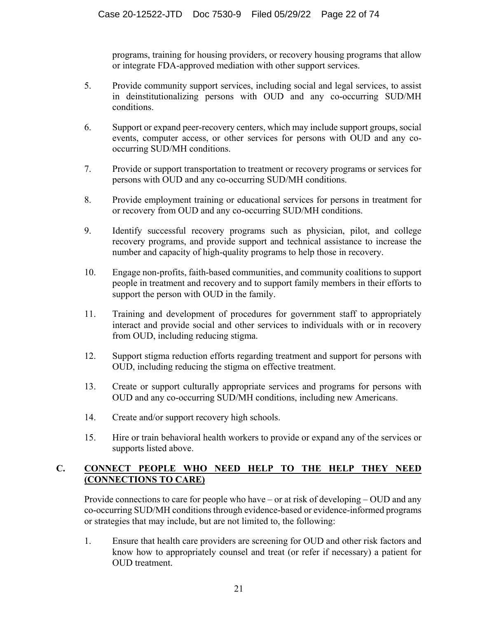programs, training for housing providers, or recovery housing programs that allow or integrate FDA-approved mediation with other support services.

- 5. Provide community support services, including social and legal services, to assist in deinstitutionalizing persons with OUD and any co-occurring SUD/MH conditions.
- 6. Support or expand peer-recovery centers, which may include support groups, social events, computer access, or other services for persons with OUD and any cooccurring SUD/MH conditions.
- 7. Provide or support transportation to treatment or recovery programs or services for persons with OUD and any co-occurring SUD/MH conditions.
- 8. Provide employment training or educational services for persons in treatment for or recovery from OUD and any co-occurring SUD/MH conditions.
- 9. Identify successful recovery programs such as physician, pilot, and college recovery programs, and provide support and technical assistance to increase the number and capacity of high-quality programs to help those in recovery.
- 10. Engage non-profits, faith-based communities, and community coalitions to support people in treatment and recovery and to support family members in their efforts to support the person with OUD in the family.
- 11. Training and development of procedures for government staff to appropriately interact and provide social and other services to individuals with or in recovery from OUD, including reducing stigma.
- 12. Support stigma reduction efforts regarding treatment and support for persons with OUD, including reducing the stigma on effective treatment.
- 13. Create or support culturally appropriate services and programs for persons with OUD and any co-occurring SUD/MH conditions, including new Americans.
- 14. Create and/or support recovery high schools.
- 15. Hire or train behavioral health workers to provide or expand any of the services or supports listed above.

# **C. CONNECT PEOPLE WHO NEED HELP TO THE HELP THEY NEED (CONNECTIONS TO CARE)**

Provide connections to care for people who have – or at risk of developing – OUD and any co-occurring SUD/MH conditions through evidence-based or evidence-informed programs or strategies that may include, but are not limited to, the following:

1. Ensure that health care providers are screening for OUD and other risk factors and know how to appropriately counsel and treat (or refer if necessary) a patient for OUD treatment.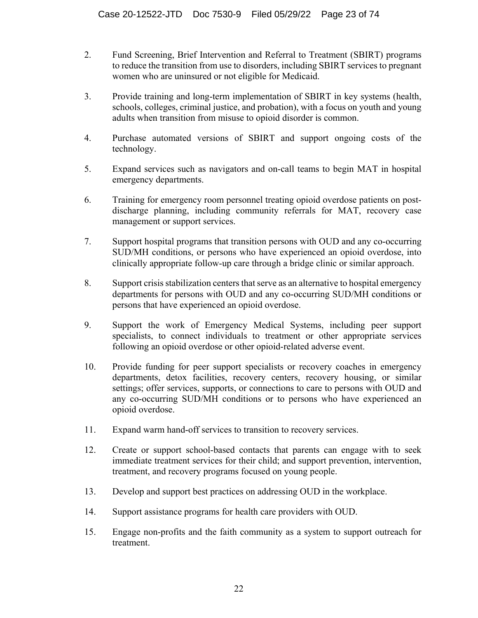- 2. Fund Screening, Brief Intervention and Referral to Treatment (SBIRT) programs to reduce the transition from use to disorders, including SBIRT services to pregnant women who are uninsured or not eligible for Medicaid.
- 3. Provide training and long-term implementation of SBIRT in key systems (health, schools, colleges, criminal justice, and probation), with a focus on youth and young adults when transition from misuse to opioid disorder is common.
- 4. Purchase automated versions of SBIRT and support ongoing costs of the technology.
- 5. Expand services such as navigators and on-call teams to begin MAT in hospital emergency departments.
- 6. Training for emergency room personnel treating opioid overdose patients on postdischarge planning, including community referrals for MAT, recovery case management or support services.
- 7. Support hospital programs that transition persons with OUD and any co-occurring SUD/MH conditions, or persons who have experienced an opioid overdose, into clinically appropriate follow-up care through a bridge clinic or similar approach.
- 8. Support crisis stabilization centers that serve as an alternative to hospital emergency departments for persons with OUD and any co-occurring SUD/MH conditions or persons that have experienced an opioid overdose.
- 9. Support the work of Emergency Medical Systems, including peer support specialists, to connect individuals to treatment or other appropriate services following an opioid overdose or other opioid-related adverse event.
- 10. Provide funding for peer support specialists or recovery coaches in emergency departments, detox facilities, recovery centers, recovery housing, or similar settings; offer services, supports, or connections to care to persons with OUD and any co-occurring SUD/MH conditions or to persons who have experienced an opioid overdose.
- 11. Expand warm hand-off services to transition to recovery services.
- 12. Create or support school-based contacts that parents can engage with to seek immediate treatment services for their child; and support prevention, intervention, treatment, and recovery programs focused on young people.
- 13. Develop and support best practices on addressing OUD in the workplace.
- 14. Support assistance programs for health care providers with OUD.
- 15. Engage non-profits and the faith community as a system to support outreach for treatment.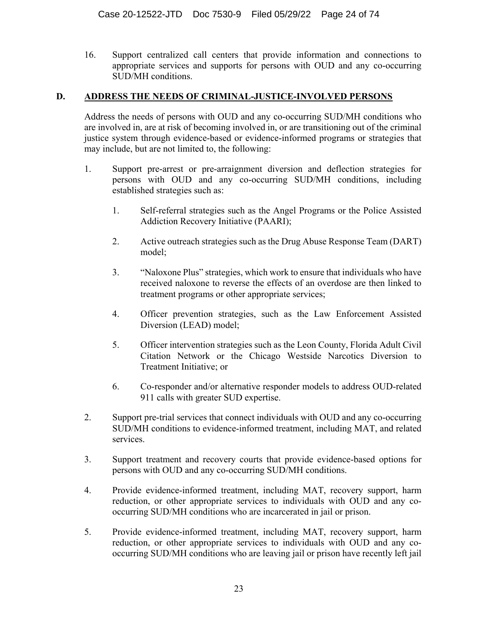16. Support centralized call centers that provide information and connections to appropriate services and supports for persons with OUD and any co-occurring SUD/MH conditions.

### **D. ADDRESS THE NEEDS OF CRIMINAL-JUSTICE-INVOLVED PERSONS**

Address the needs of persons with OUD and any co-occurring SUD/MH conditions who are involved in, are at risk of becoming involved in, or are transitioning out of the criminal justice system through evidence-based or evidence-informed programs or strategies that may include, but are not limited to, the following:

- 1. Support pre-arrest or pre-arraignment diversion and deflection strategies for persons with OUD and any co-occurring SUD/MH conditions, including established strategies such as:
	- 1. Self-referral strategies such as the Angel Programs or the Police Assisted Addiction Recovery Initiative (PAARI);
	- 2. Active outreach strategies such as the Drug Abuse Response Team (DART) model;
	- 3. "Naloxone Plus" strategies, which work to ensure that individuals who have received naloxone to reverse the effects of an overdose are then linked to treatment programs or other appropriate services;
	- 4. Officer prevention strategies, such as the Law Enforcement Assisted Diversion (LEAD) model;
	- 5. Officer intervention strategies such as the Leon County, Florida Adult Civil Citation Network or the Chicago Westside Narcotics Diversion to Treatment Initiative; or
	- 6. Co-responder and/or alternative responder models to address OUD-related 911 calls with greater SUD expertise.
- 2. Support pre-trial services that connect individuals with OUD and any co-occurring SUD/MH conditions to evidence-informed treatment, including MAT, and related services.
- 3. Support treatment and recovery courts that provide evidence-based options for persons with OUD and any co-occurring SUD/MH conditions.
- 4. Provide evidence-informed treatment, including MAT, recovery support, harm reduction, or other appropriate services to individuals with OUD and any cooccurring SUD/MH conditions who are incarcerated in jail or prison.
- 5. Provide evidence-informed treatment, including MAT, recovery support, harm reduction, or other appropriate services to individuals with OUD and any cooccurring SUD/MH conditions who are leaving jail or prison have recently left jail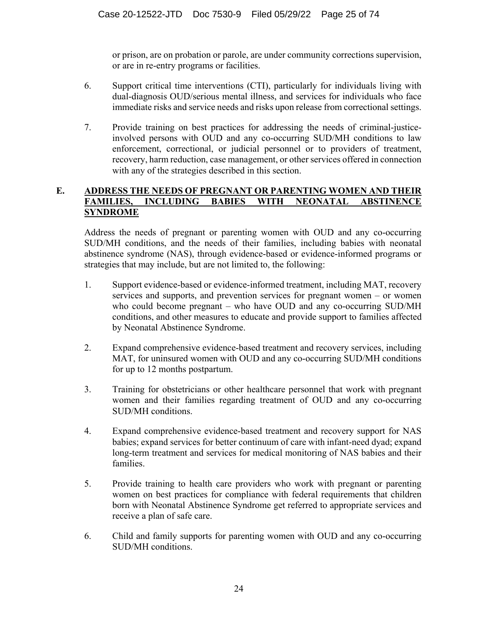or prison, are on probation or parole, are under community corrections supervision, or are in re-entry programs or facilities.

- 6. Support critical time interventions (CTI), particularly for individuals living with dual-diagnosis OUD/serious mental illness, and services for individuals who face immediate risks and service needs and risks upon release from correctional settings.
- 7. Provide training on best practices for addressing the needs of criminal-justiceinvolved persons with OUD and any co-occurring SUD/MH conditions to law enforcement, correctional, or judicial personnel or to providers of treatment, recovery, harm reduction, case management, or other services offered in connection with any of the strategies described in this section.

### **E. ADDRESS THE NEEDS OF PREGNANT OR PARENTING WOMEN AND THEIR FAMILIES, INCLUDING BABIES WITH NEONATAL ABSTINENCE SYNDROME**

Address the needs of pregnant or parenting women with OUD and any co-occurring SUD/MH conditions, and the needs of their families, including babies with neonatal abstinence syndrome (NAS), through evidence-based or evidence-informed programs or strategies that may include, but are not limited to, the following:

- 1. Support evidence-based or evidence-informed treatment, including MAT, recovery services and supports, and prevention services for pregnant women – or women who could become pregnant – who have OUD and any co-occurring SUD/MH conditions, and other measures to educate and provide support to families affected by Neonatal Abstinence Syndrome.
- 2. Expand comprehensive evidence-based treatment and recovery services, including MAT, for uninsured women with OUD and any co-occurring SUD/MH conditions for up to 12 months postpartum.
- 3. Training for obstetricians or other healthcare personnel that work with pregnant women and their families regarding treatment of OUD and any co-occurring SUD/MH conditions.
- 4. Expand comprehensive evidence-based treatment and recovery support for NAS babies; expand services for better continuum of care with infant-need dyad; expand long-term treatment and services for medical monitoring of NAS babies and their families.
- 5. Provide training to health care providers who work with pregnant or parenting women on best practices for compliance with federal requirements that children born with Neonatal Abstinence Syndrome get referred to appropriate services and receive a plan of safe care.
- 6. Child and family supports for parenting women with OUD and any co-occurring SUD/MH conditions.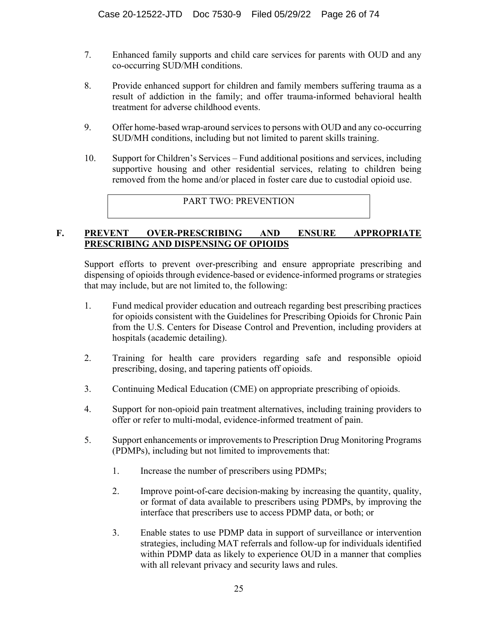- 7. Enhanced family supports and child care services for parents with OUD and any co-occurring SUD/MH conditions.
- 8. Provide enhanced support for children and family members suffering trauma as a result of addiction in the family; and offer trauma-informed behavioral health treatment for adverse childhood events.
- 9. Offer home-based wrap-around services to persons with OUD and any co-occurring SUD/MH conditions, including but not limited to parent skills training.
- 10. Support for Children's Services Fund additional positions and services, including supportive housing and other residential services, relating to children being removed from the home and/or placed in foster care due to custodial opioid use.

PART TWO: PREVENTION

#### **F. PREVENT OVER-PRESCRIBING AND ENSURE APPROPRIATE PRESCRIBING AND DISPENSING OF OPIOIDS**

Support efforts to prevent over-prescribing and ensure appropriate prescribing and dispensing of opioids through evidence-based or evidence-informed programs or strategies that may include, but are not limited to, the following:

- 1. Fund medical provider education and outreach regarding best prescribing practices for opioids consistent with the Guidelines for Prescribing Opioids for Chronic Pain from the U.S. Centers for Disease Control and Prevention, including providers at hospitals (academic detailing).
- 2. Training for health care providers regarding safe and responsible opioid prescribing, dosing, and tapering patients off opioids.
- 3. Continuing Medical Education (CME) on appropriate prescribing of opioids.
- 4. Support for non-opioid pain treatment alternatives, including training providers to offer or refer to multi-modal, evidence-informed treatment of pain.
- 5. Support enhancements or improvements to Prescription Drug Monitoring Programs (PDMPs), including but not limited to improvements that:
	- 1. Increase the number of prescribers using PDMPs;
	- 2. Improve point-of-care decision-making by increasing the quantity, quality, or format of data available to prescribers using PDMPs, by improving the interface that prescribers use to access PDMP data, or both; or
	- 3. Enable states to use PDMP data in support of surveillance or intervention strategies, including MAT referrals and follow-up for individuals identified within PDMP data as likely to experience OUD in a manner that complies with all relevant privacy and security laws and rules.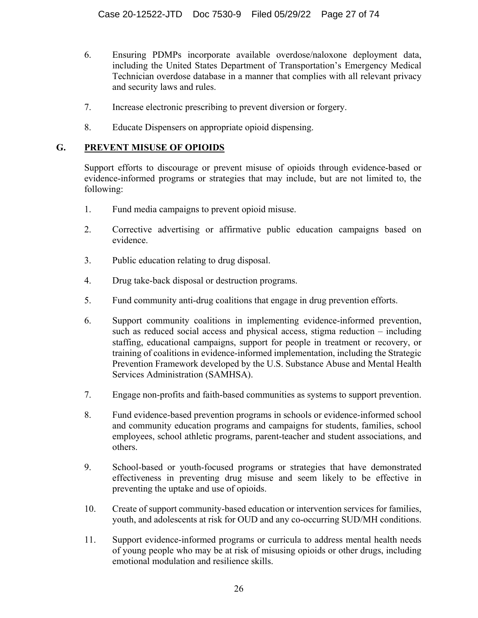- 6. Ensuring PDMPs incorporate available overdose/naloxone deployment data, including the United States Department of Transportation's Emergency Medical Technician overdose database in a manner that complies with all relevant privacy and security laws and rules.
- 7. Increase electronic prescribing to prevent diversion or forgery.
- 8. Educate Dispensers on appropriate opioid dispensing.

### **G. PREVENT MISUSE OF OPIOIDS**

Support efforts to discourage or prevent misuse of opioids through evidence-based or evidence-informed programs or strategies that may include, but are not limited to, the following:

- 1. Fund media campaigns to prevent opioid misuse.
- 2. Corrective advertising or affirmative public education campaigns based on evidence.
- 3. Public education relating to drug disposal.
- 4. Drug take-back disposal or destruction programs.
- 5. Fund community anti-drug coalitions that engage in drug prevention efforts.
- 6. Support community coalitions in implementing evidence-informed prevention, such as reduced social access and physical access, stigma reduction – including staffing, educational campaigns, support for people in treatment or recovery, or training of coalitions in evidence-informed implementation, including the Strategic Prevention Framework developed by the U.S. Substance Abuse and Mental Health Services Administration (SAMHSA).
- 7. Engage non-profits and faith-based communities as systems to support prevention.
- 8. Fund evidence-based prevention programs in schools or evidence-informed school and community education programs and campaigns for students, families, school employees, school athletic programs, parent-teacher and student associations, and others.
- 9. School-based or youth-focused programs or strategies that have demonstrated effectiveness in preventing drug misuse and seem likely to be effective in preventing the uptake and use of opioids.
- 10. Create of support community-based education or intervention services for families, youth, and adolescents at risk for OUD and any co-occurring SUD/MH conditions.
- 11. Support evidence-informed programs or curricula to address mental health needs of young people who may be at risk of misusing opioids or other drugs, including emotional modulation and resilience skills.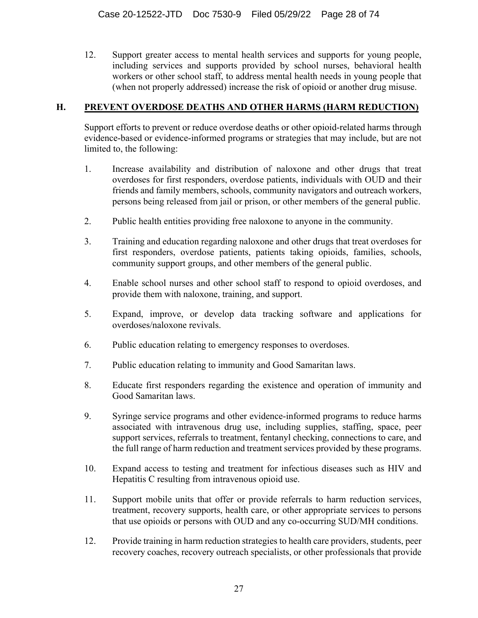12. Support greater access to mental health services and supports for young people, including services and supports provided by school nurses, behavioral health workers or other school staff, to address mental health needs in young people that (when not properly addressed) increase the risk of opioid or another drug misuse.

#### **H. PREVENT OVERDOSE DEATHS AND OTHER HARMS (HARM REDUCTION)**

Support efforts to prevent or reduce overdose deaths or other opioid-related harms through evidence-based or evidence-informed programs or strategies that may include, but are not limited to, the following:

- 1. Increase availability and distribution of naloxone and other drugs that treat overdoses for first responders, overdose patients, individuals with OUD and their friends and family members, schools, community navigators and outreach workers, persons being released from jail or prison, or other members of the general public.
- 2. Public health entities providing free naloxone to anyone in the community.
- 3. Training and education regarding naloxone and other drugs that treat overdoses for first responders, overdose patients, patients taking opioids, families, schools, community support groups, and other members of the general public.
- 4. Enable school nurses and other school staff to respond to opioid overdoses, and provide them with naloxone, training, and support.
- 5. Expand, improve, or develop data tracking software and applications for overdoses/naloxone revivals.
- 6. Public education relating to emergency responses to overdoses.
- 7. Public education relating to immunity and Good Samaritan laws.
- 8. Educate first responders regarding the existence and operation of immunity and Good Samaritan laws.
- 9. Syringe service programs and other evidence-informed programs to reduce harms associated with intravenous drug use, including supplies, staffing, space, peer support services, referrals to treatment, fentanyl checking, connections to care, and the full range of harm reduction and treatment services provided by these programs.
- 10. Expand access to testing and treatment for infectious diseases such as HIV and Hepatitis C resulting from intravenous opioid use.
- 11. Support mobile units that offer or provide referrals to harm reduction services, treatment, recovery supports, health care, or other appropriate services to persons that use opioids or persons with OUD and any co-occurring SUD/MH conditions.
- 12. Provide training in harm reduction strategies to health care providers, students, peer recovery coaches, recovery outreach specialists, or other professionals that provide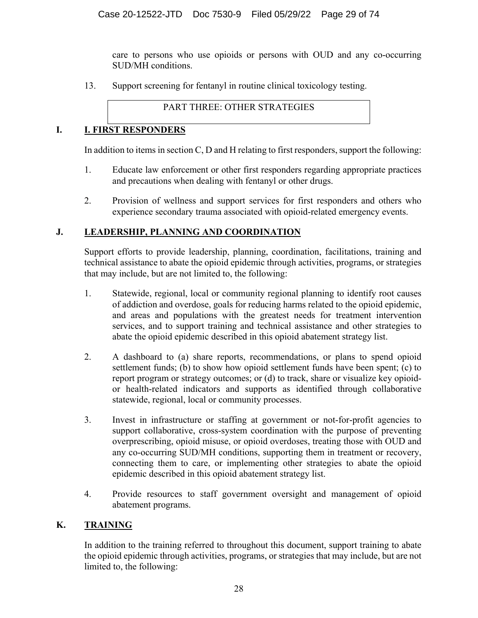care to persons who use opioids or persons with OUD and any co-occurring SUD/MH conditions.

13. Support screening for fentanyl in routine clinical toxicology testing.

PART THREE: OTHER STRATEGIES

# **I. I. FIRST RESPONDERS**

In addition to items in section C, D and H relating to first responders, support the following:

- 1. Educate law enforcement or other first responders regarding appropriate practices and precautions when dealing with fentanyl or other drugs.
- 2. Provision of wellness and support services for first responders and others who experience secondary trauma associated with opioid-related emergency events.

# **J. LEADERSHIP, PLANNING AND COORDINATION**

Support efforts to provide leadership, planning, coordination, facilitations, training and technical assistance to abate the opioid epidemic through activities, programs, or strategies that may include, but are not limited to, the following:

- 1. Statewide, regional, local or community regional planning to identify root causes of addiction and overdose, goals for reducing harms related to the opioid epidemic, and areas and populations with the greatest needs for treatment intervention services, and to support training and technical assistance and other strategies to abate the opioid epidemic described in this opioid abatement strategy list.
- 2. A dashboard to (a) share reports, recommendations, or plans to spend opioid settlement funds; (b) to show how opioid settlement funds have been spent; (c) to report program or strategy outcomes; or (d) to track, share or visualize key opioidor health-related indicators and supports as identified through collaborative statewide, regional, local or community processes.
- 3. Invest in infrastructure or staffing at government or not-for-profit agencies to support collaborative, cross-system coordination with the purpose of preventing overprescribing, opioid misuse, or opioid overdoses, treating those with OUD and any co-occurring SUD/MH conditions, supporting them in treatment or recovery, connecting them to care, or implementing other strategies to abate the opioid epidemic described in this opioid abatement strategy list.
- 4. Provide resources to staff government oversight and management of opioid abatement programs.

# **K. TRAINING**

In addition to the training referred to throughout this document, support training to abate the opioid epidemic through activities, programs, or strategies that may include, but are not limited to, the following: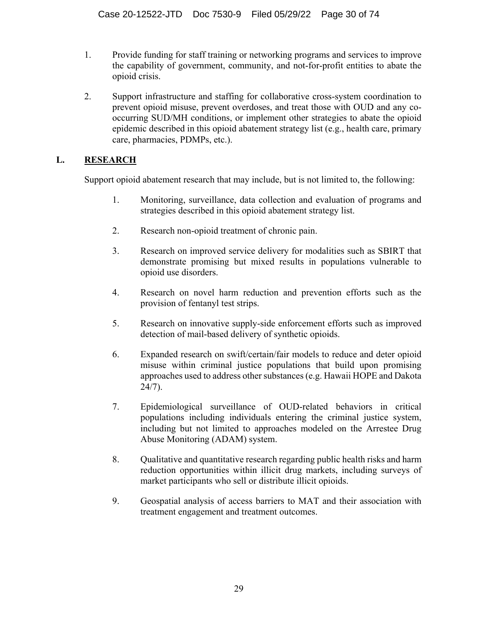- 1. Provide funding for staff training or networking programs and services to improve the capability of government, community, and not-for-profit entities to abate the opioid crisis.
- 2. Support infrastructure and staffing for collaborative cross-system coordination to prevent opioid misuse, prevent overdoses, and treat those with OUD and any cooccurring SUD/MH conditions, or implement other strategies to abate the opioid epidemic described in this opioid abatement strategy list (e.g., health care, primary care, pharmacies, PDMPs, etc.).

## **L. RESEARCH**

Support opioid abatement research that may include, but is not limited to, the following:

- 1. Monitoring, surveillance, data collection and evaluation of programs and strategies described in this opioid abatement strategy list.
- 2. Research non-opioid treatment of chronic pain.
- 3. Research on improved service delivery for modalities such as SBIRT that demonstrate promising but mixed results in populations vulnerable to opioid use disorders.
- 4. Research on novel harm reduction and prevention efforts such as the provision of fentanyl test strips.
- 5. Research on innovative supply-side enforcement efforts such as improved detection of mail-based delivery of synthetic opioids.
- 6. Expanded research on swift/certain/fair models to reduce and deter opioid misuse within criminal justice populations that build upon promising approaches used to address other substances (e.g. Hawaii HOPE and Dakota 24/7).
- 7. Epidemiological surveillance of OUD-related behaviors in critical populations including individuals entering the criminal justice system, including but not limited to approaches modeled on the Arrestee Drug Abuse Monitoring (ADAM) system.
- 8. Qualitative and quantitative research regarding public health risks and harm reduction opportunities within illicit drug markets, including surveys of market participants who sell or distribute illicit opioids.
- 9. Geospatial analysis of access barriers to MAT and their association with treatment engagement and treatment outcomes.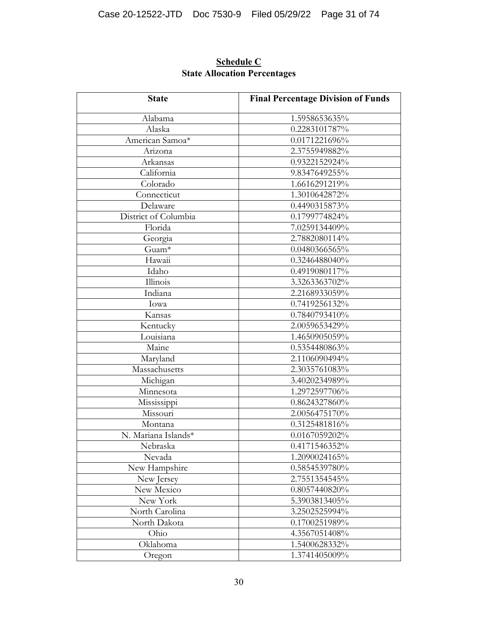| <b>State</b>         | <b>Final Percentage Division of Funds</b> |
|----------------------|-------------------------------------------|
| Alabama              | 1.5958653635%                             |
| Alaska               | 0.2283101787%                             |
| American Samoa*      | 0.0171221696%                             |
| Arizona              | 2.3755949882%                             |
| Arkansas             | 0.9322152924%                             |
| California           | 9.8347649255%                             |
| Colorado             | 1.6616291219%                             |
| Connecticut          | 1.3010642872%                             |
| Delaware             | 0.4490315873%                             |
| District of Columbia | 0.1799774824%                             |
| Florida              | 7.0259134409%                             |
| Georgia              | 2.7882080114%                             |
| Guam <sup>*</sup>    | 0.0480366565%                             |
| Hawaii               | 0.3246488040%                             |
| Idaho                | 0.4919080117%                             |
| Illinois             | 3.3263363702%                             |
| Indiana              | 2.2168933059%                             |
| Iowa                 | $0.7419256132\sqrt[6]{\hspace{0.5cm}}$    |
| Kansas               | 0.7840793410%                             |
| Kentucky             | 2.0059653429%                             |
| Louisiana            | 1.4650905059%                             |
| Maine                | 0.5354480863%                             |
| Maryland             | 2.1106090494%                             |
| Massachusetts        | 2.3035761083%                             |
| Michigan             | 3.4020234989%                             |
| Minnesota            | 1.2972597706%                             |
| Mississippi          | 0.8624327860%                             |
| Missouri             | 2.0056475170%                             |
| Montana              | 0.3125481816%                             |
| N. Mariana Islands*  | 0.0167059202%                             |
| Nebraska             | 0.4171546352%                             |
| Nevada               | 1.2090024165%                             |
| New Hampshire        | 0.5854539780%                             |
| New Jersey           | 2.7551354545%                             |
| New Mexico           | 0.8057440820%                             |
| New York             | 5.3903813405%                             |
| North Carolina       | 3.2502525994%                             |
| North Dakota         | 0.1700251989%                             |
| Ohio                 | 4.3567051408%                             |
| Oklahoma             | 1.5400628332%                             |
| Oregon               | 1.3741405009%                             |

# **Schedule C State Allocation Percentages**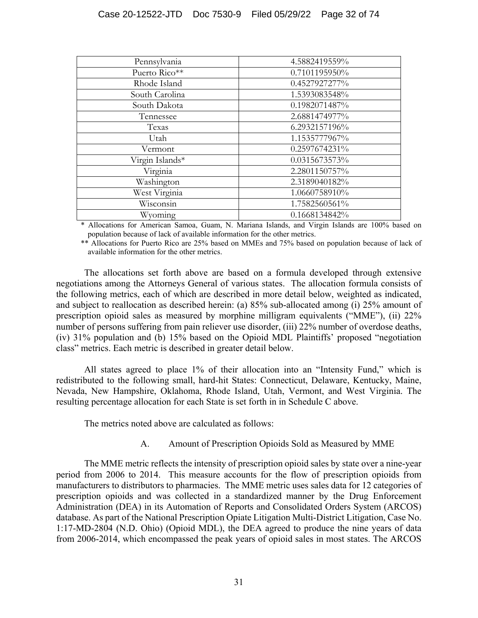| Pennsylvania    | 4.5882419559% |
|-----------------|---------------|
| Puerto Rico**   | 0.7101195950% |
| Rhode Island    | 0.4527927277% |
| South Carolina  | 1.5393083548% |
| South Dakota    | 0.1982071487% |
| Tennessee       | 2.6881474977% |
| Texas           | 6.2932157196% |
| Utah            | 1.1535777967% |
| Vermont         | 0.2597674231% |
| Virgin Islands* | 0.0315673573% |
| Virginia        | 2.2801150757% |
| Washington      | 2.3189040182% |
| West Virginia   | 1.0660758910% |
| Wisconsin       | 1.7582560561% |
| Wyoming         | 0.1668134842% |

\* Allocations for American Samoa, Guam, N. Mariana Islands, and Virgin Islands are 100% based on population because of lack of available information for the other metrics.

\*\* Allocations for Puerto Rico are 25% based on MMEs and 75% based on population because of lack of available information for the other metrics.

The allocations set forth above are based on a formula developed through extensive negotiations among the Attorneys General of various states. The allocation formula consists of the following metrics, each of which are described in more detail below, weighted as indicated, and subject to reallocation as described herein: (a) 85% sub-allocated among (i) 25% amount of prescription opioid sales as measured by morphine milligram equivalents ("MME"), (ii) 22% number of persons suffering from pain reliever use disorder, (iii) 22% number of overdose deaths, (iv) 31% population and (b) 15% based on the Opioid MDL Plaintiffs' proposed "negotiation class" metrics. Each metric is described in greater detail below.

All states agreed to place 1% of their allocation into an "Intensity Fund," which is redistributed to the following small, hard-hit States: Connecticut, Delaware, Kentucky, Maine, Nevada, New Hampshire, Oklahoma, Rhode Island, Utah, Vermont, and West Virginia. The resulting percentage allocation for each State is set forth in in Schedule C above.

The metrics noted above are calculated as follows:

A. Amount of Prescription Opioids Sold as Measured by MME

The MME metric reflects the intensity of prescription opioid sales by state over a nine-year period from 2006 to 2014. This measure accounts for the flow of prescription opioids from manufacturers to distributors to pharmacies. The MME metric uses sales data for 12 categories of prescription opioids and was collected in a standardized manner by the Drug Enforcement Administration (DEA) in its Automation of Reports and Consolidated Orders System (ARCOS) database. As part of the National Prescription Opiate Litigation Multi-District Litigation, Case No. 1:17-MD-2804 (N.D. Ohio) (Opioid MDL), the DEA agreed to produce the nine years of data from 2006-2014, which encompassed the peak years of opioid sales in most states. The ARCOS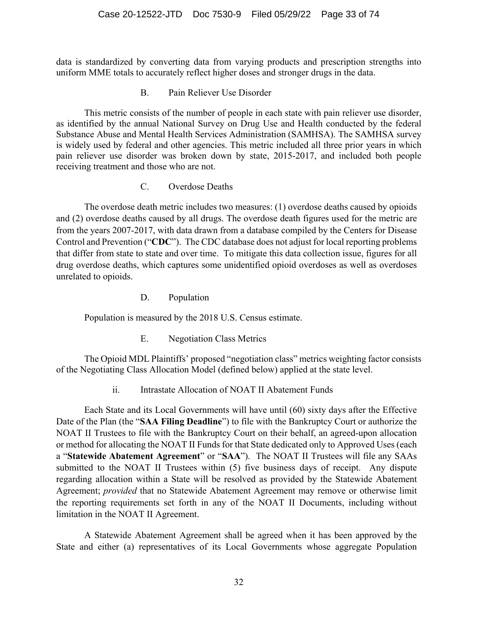data is standardized by converting data from varying products and prescription strengths into uniform MME totals to accurately reflect higher doses and stronger drugs in the data.

B. Pain Reliever Use Disorder

This metric consists of the number of people in each state with pain reliever use disorder, as identified by the annual National Survey on Drug Use and Health conducted by the federal Substance Abuse and Mental Health Services Administration (SAMHSA). The SAMHSA survey is widely used by federal and other agencies. This metric included all three prior years in which pain reliever use disorder was broken down by state, 2015-2017, and included both people receiving treatment and those who are not.

C. Overdose Deaths

The overdose death metric includes two measures: (1) overdose deaths caused by opioids and (2) overdose deaths caused by all drugs. The overdose death figures used for the metric are from the years 2007-2017, with data drawn from a database compiled by the Centers for Disease Control and Prevention ("**CDC**"). The CDC database does not adjust for local reporting problems that differ from state to state and over time. To mitigate this data collection issue, figures for all drug overdose deaths, which captures some unidentified opioid overdoses as well as overdoses unrelated to opioids.

D. Population

Population is measured by the 2018 U.S. Census estimate.

E. Negotiation Class Metrics

The Opioid MDL Plaintiffs' proposed "negotiation class" metrics weighting factor consists of the Negotiating Class Allocation Model (defined below) applied at the state level.

ii. Intrastate Allocation of NOAT II Abatement Funds

Each State and its Local Governments will have until (60) sixty days after the Effective Date of the Plan (the "**SAA Filing Deadline**") to file with the Bankruptcy Court or authorize the NOAT II Trustees to file with the Bankruptcy Court on their behalf, an agreed-upon allocation or method for allocating the NOAT II Funds for that State dedicated only to Approved Uses (each a "**Statewide Abatement Agreement**" or "**SAA**"). The NOAT II Trustees will file any SAAs submitted to the NOAT II Trustees within (5) five business days of receipt. Any dispute regarding allocation within a State will be resolved as provided by the Statewide Abatement Agreement; *provided* that no Statewide Abatement Agreement may remove or otherwise limit the reporting requirements set forth in any of the NOAT II Documents, including without limitation in the NOAT II Agreement.

A Statewide Abatement Agreement shall be agreed when it has been approved by the State and either (a) representatives of its Local Governments whose aggregate Population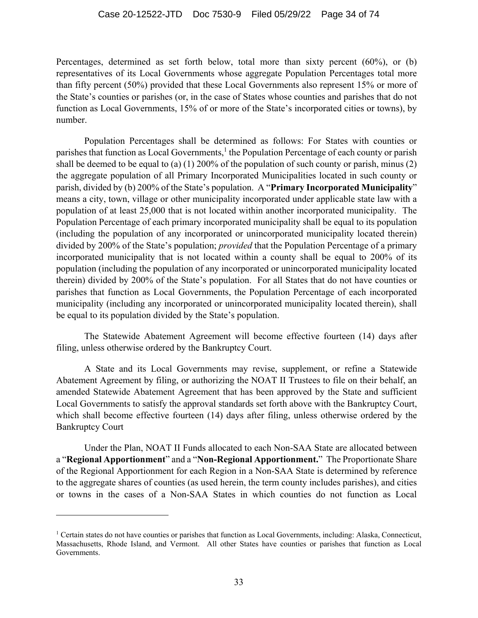Percentages, determined as set forth below, total more than sixty percent (60%), or (b) representatives of its Local Governments whose aggregate Population Percentages total more than fifty percent (50%) provided that these Local Governments also represent 15% or more of the State's counties or parishes (or, in the case of States whose counties and parishes that do not function as Local Governments, 15% of or more of the State's incorporated cities or towns), by number.

Population Percentages shall be determined as follows: For States with counties or parishes that function as Local Governments,<sup>1</sup> the Population Percentage of each county or parish shall be deemed to be equal to (a) (1) 200% of the population of such county or parish, minus (2) the aggregate population of all Primary Incorporated Municipalities located in such county or parish, divided by (b) 200% of the State's population. A "**Primary Incorporated Municipality**" means a city, town, village or other municipality incorporated under applicable state law with a population of at least 25,000 that is not located within another incorporated municipality. The Population Percentage of each primary incorporated municipality shall be equal to its population (including the population of any incorporated or unincorporated municipality located therein) divided by 200% of the State's population; *provided* that the Population Percentage of a primary incorporated municipality that is not located within a county shall be equal to 200% of its population (including the population of any incorporated or unincorporated municipality located therein) divided by 200% of the State's population. For all States that do not have counties or parishes that function as Local Governments, the Population Percentage of each incorporated municipality (including any incorporated or unincorporated municipality located therein), shall be equal to its population divided by the State's population.

The Statewide Abatement Agreement will become effective fourteen (14) days after filing, unless otherwise ordered by the Bankruptcy Court.

A State and its Local Governments may revise, supplement, or refine a Statewide Abatement Agreement by filing, or authorizing the NOAT II Trustees to file on their behalf, an amended Statewide Abatement Agreement that has been approved by the State and sufficient Local Governments to satisfy the approval standards set forth above with the Bankruptcy Court, which shall become effective fourteen (14) days after filing, unless otherwise ordered by the Bankruptcy Court

Under the Plan, NOAT II Funds allocated to each Non-SAA State are allocated between a "**Regional Apportionment**" and a "**Non-Regional Apportionment.**" The Proportionate Share of the Regional Apportionment for each Region in a Non-SAA State is determined by reference to the aggregate shares of counties (as used herein, the term county includes parishes), and cities or towns in the cases of a Non-SAA States in which counties do not function as Local

<sup>&</sup>lt;sup>1</sup> Certain states do not have counties or parishes that function as Local Governments, including: Alaska, Connecticut, Massachusetts, Rhode Island, and Vermont. All other States have counties or parishes that function as Local Governments.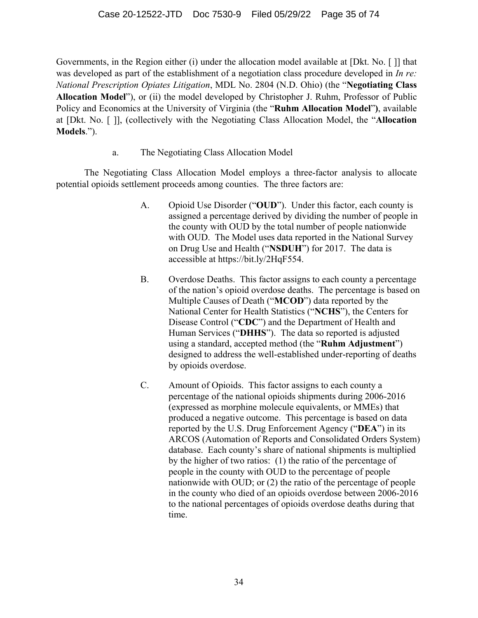Governments, in the Region either (i) under the allocation model available at [Dkt. No. [ ]] that was developed as part of the establishment of a negotiation class procedure developed in *In re: National Prescription Opiates Litigation*, MDL No. 2804 (N.D. Ohio) (the "**Negotiating Class Allocation Model**"), or (ii) the model developed by Christopher J. Ruhm, Professor of Public Policy and Economics at the University of Virginia (the "**Ruhm Allocation Model**"**)**, available at [Dkt. No. [ ]], (collectively with the Negotiating Class Allocation Model, the "**Allocation Models**.").

a. The Negotiating Class Allocation Model

The Negotiating Class Allocation Model employs a three-factor analysis to allocate potential opioids settlement proceeds among counties. The three factors are:

- A. Opioid Use Disorder ("**OUD**"). Under this factor, each county is assigned a percentage derived by dividing the number of people in the county with OUD by the total number of people nationwide with OUD. The Model uses data reported in the National Survey on Drug Use and Health ("**NSDUH**") for 2017. The data is accessible at https://bit.ly/2HqF554.
- B. Overdose Deaths. This factor assigns to each county a percentage of the nation's opioid overdose deaths. The percentage is based on Multiple Causes of Death ("**MCOD**") data reported by the National Center for Health Statistics ("**NCHS**"), the Centers for Disease Control ("**CDC**") and the Department of Health and Human Services ("**DHHS**"). The data so reported is adjusted using a standard, accepted method (the "**Ruhm Adjustment**") designed to address the well-established under-reporting of deaths by opioids overdose.
- C. Amount of Opioids. This factor assigns to each county a percentage of the national opioids shipments during 2006-2016 (expressed as morphine molecule equivalents, or MMEs) that produced a negative outcome. This percentage is based on data reported by the U.S. Drug Enforcement Agency ("**DEA**") in its ARCOS (Automation of Reports and Consolidated Orders System) database. Each county's share of national shipments is multiplied by the higher of two ratios: (1) the ratio of the percentage of people in the county with OUD to the percentage of people nationwide with OUD; or (2) the ratio of the percentage of people in the county who died of an opioids overdose between 2006-2016 to the national percentages of opioids overdose deaths during that time.